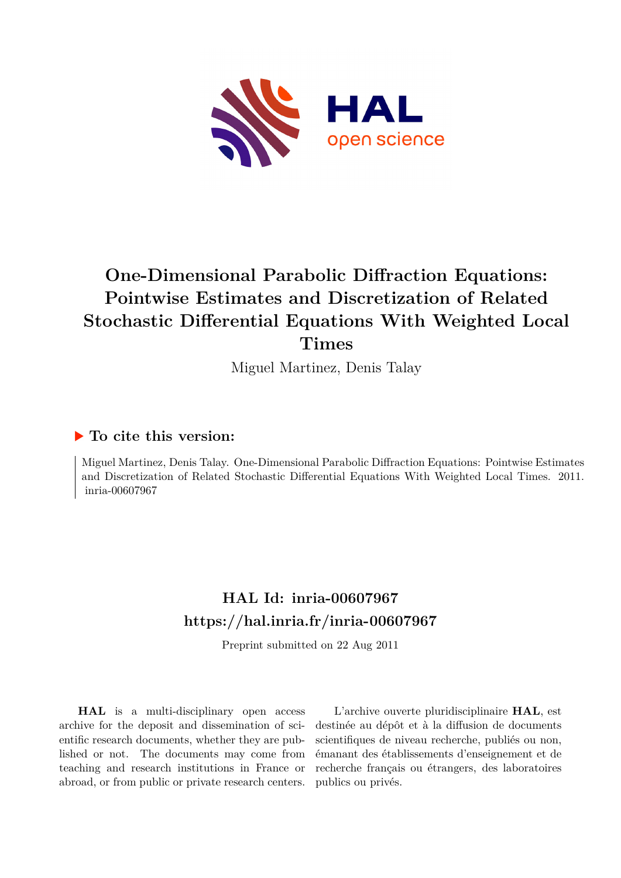

# **One-Dimensional Parabolic Diffraction Equations: Pointwise Estimates and Discretization of Related Stochastic Differential Equations With Weighted Local Times**

Miguel Martinez, Denis Talay

## **To cite this version:**

Miguel Martinez, Denis Talay. One-Dimensional Parabolic Diffraction Equations: Pointwise Estimates and Discretization of Related Stochastic Differential Equations With Weighted Local Times. 2011. inria-00607967

# **HAL Id: inria-00607967 <https://hal.inria.fr/inria-00607967>**

Preprint submitted on 22 Aug 2011

**HAL** is a multi-disciplinary open access archive for the deposit and dissemination of scientific research documents, whether they are published or not. The documents may come from teaching and research institutions in France or abroad, or from public or private research centers.

L'archive ouverte pluridisciplinaire **HAL**, est destinée au dépôt et à la diffusion de documents scientifiques de niveau recherche, publiés ou non, émanant des établissements d'enseignement et de recherche français ou étrangers, des laboratoires publics ou privés.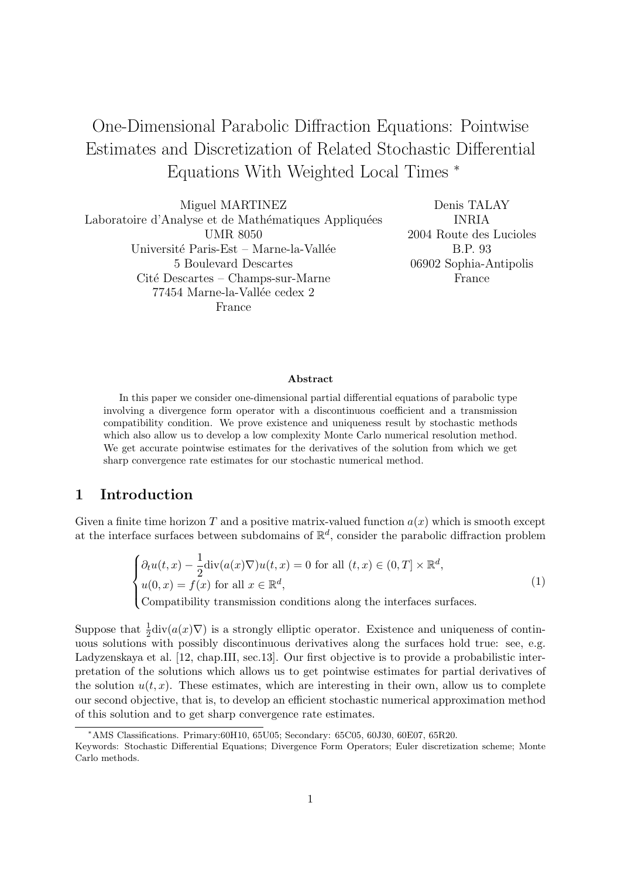# One-Dimensional Parabolic Diffraction Equations: Pointwise Estimates and Discretization of Related Stochastic Differential Equations With Weighted Local Times <sup>∗</sup>

Miguel MARTINEZ Laboratoire d'Analyse et de Mathématiques Appliquées UMR 8050 Université Paris-Est – Marne-la-Vallée 5 Boulevard Descartes Cité Descartes – Champs-sur-Marne 77454 Marne-la-Vallée cedex 2 France

Denis TALAY INRIA 2004 Route des Lucioles B.P. 93 06902 Sophia-Antipolis France

#### Abstract

In this paper we consider one-dimensional partial differential equations of parabolic type involving a divergence form operator with a discontinuous coefficient and a transmission compatibility condition. We prove existence and uniqueness result by stochastic methods which also allow us to develop a low complexity Monte Carlo numerical resolution method. We get accurate pointwise estimates for the derivatives of the solution from which we get sharp convergence rate estimates for our stochastic numerical method.

## 1 Introduction

Given a finite time horizon T and a positive matrix-valued function  $a(x)$  which is smooth except at the interface surfaces between subdomains of  $\mathbb{R}^d$ , consider the parabolic diffraction problem

$$
\begin{cases} \partial_t u(t,x) - \frac{1}{2} \text{div}(a(x)\nabla)u(t,x) = 0 \text{ for all } (t,x) \in (0,T] \times \mathbb{R}^d, \\ u(0,x) = f(x) \text{ for all } x \in \mathbb{R}^d, \\ \text{Comptibility transmission conditions along the interfaces surfaces.} \end{cases}
$$
(1)

Suppose that  $\frac{1}{2}$ div $(a(x)\nabla)$  is a strongly elliptic operator. Existence and uniqueness of continuous solutions with possibly discontinuous derivatives along the surfaces hold true: see, e.g. Ladyzenskaya et al. [12, chap.III, sec.13]. Our first objective is to provide a probabilistic interpretation of the solutions which allows us to get pointwise estimates for partial derivatives of the solution  $u(t, x)$ . These estimates, which are interesting in their own, allow us to complete our second objective, that is, to develop an efficient stochastic numerical approximation method of this solution and to get sharp convergence rate estimates.

<sup>∗</sup>AMS Classifications. Primary:60H10, 65U05; Secondary: 65C05, 60J30, 60E07, 65R20.

Keywords: Stochastic Differential Equations; Divergence Form Operators; Euler discretization scheme; Monte Carlo methods.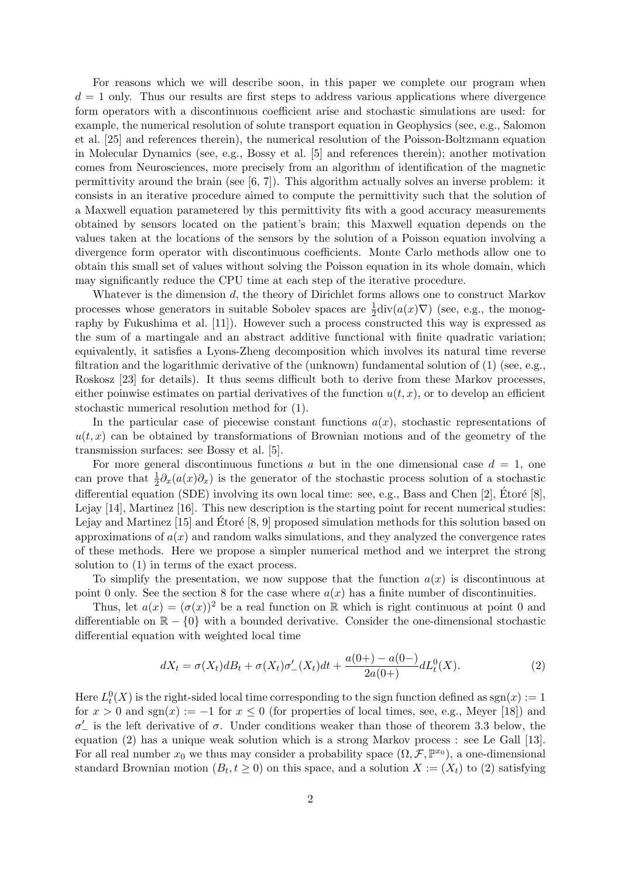For reasons which we will describe soon, in this paper we complete our program when  $d = 1$  only. Thus our results are first steps to address various applications where divergence form operators with a discontinuous coefficient arise and stochastic simulations are used: for example, the numerical resolution of solute transport equation in Geophysics (see, e.g., Salomon et al. [25] and references therein), the numerical resolution of the Poisson-Boltzmann equation in Molecular Dynamics (see, e.g., Bossy et al. [5] and references therein); another motivation comes from Neurosciences, more precisely from an algorithm of identification of the magnetic permittivity around the brain (see  $[6, 7]$ ). This algorithm actually solves an inverse problem: it consists in an iterative procedure aimed to compute the permittivity such that the solution of a Maxwell equation parametered by this permittivity fits with a good accuracy measurements obtained by sensors located on the patient's brain; this Maxwell equation depends on the values taken at the locations of the sensors by the solution of a Poisson equation involving a divergence form operator with discontinuous coefficients. Monte Carlo methods allow one to obtain this small set of values without solving the Poisson equation in its whole domain, which may significantly reduce the CPU time at each step of the iterative procedure.

Whatever is the dimension d, the theory of Dirichlet forms allows one to construct Markov processes whose generators in suitable Sobolev spaces are  $\frac{1}{2}$ div $(a(x)\nabla)$  (see, e.g., the monography by Fukushima et al. [11]). However such a process constructed this way is expressed as the sum of a martingale and an abstract additive functional with finite quadratic variation; equivalently, it satisfies a Lyons-Zheng decomposition which involves its natural time reverse filtration and the logarithmic derivative of the (unknown) fundamental solution of  $(1)$  (see, e.g., Roskosz [23] for details). It thus seems difficult both to derive from these Markov processes, either poinwise estimates on partial derivatives of the function  $u(t, x)$ , or to develop an efficient stochastic numerical resolution method for (1).

In the particular case of piecewise constant functions  $a(x)$ , stochastic representations of  $u(t, x)$  can be obtained by transformations of Brownian motions and of the geometry of the transmission surfaces: see Bossy et al. [5].

For more general discontinuous functions a but in the one dimensional case  $d = 1$ , one can prove that  $\frac{1}{2}\partial_x(a(x)\partial_x)$  is the generator of the stochastic process solution of a stochastic differential equation (SDE) involving its own local time: see, e.g., Bass and Chen [2], Etoré [8], Lejay [14], Martinez [16]. This new description is the starting point for recent numerical studies: Lejay and Martinez [15] and Étoré  $[8, 9]$  proposed simulation methods for this solution based on approximations of  $a(x)$  and random walks simulations, and they analyzed the convergence rates of these methods. Here we propose a simpler numerical method and we interpret the strong solution to (1) in terms of the exact process.

To simplify the presentation, we now suppose that the function  $a(x)$  is discontinuous at point 0 only. See the section 8 for the case where  $a(x)$  has a finite number of discontinuities.

Thus, let  $a(x) = (\sigma(x))^2$  be a real function on R which is right continuous at point 0 and differentiable on  $\mathbb{R} - \{0\}$  with a bounded derivative. Consider the one-dimensional stochastic differential equation with weighted local time

$$
dX_t = \sigma(X_t)dB_t + \sigma(X_t)\sigma'_{-}(X_t)dt + \frac{a(0+)-a(0-)}{2a(0+)}dL_t^0(X).
$$
\n(2)

Here  $L_t^0(X)$  is the right-sided local time corresponding to the sign function defined as  $sgn(x) := 1$ for  $x > 0$  and sgn(x) := -1 for  $x \le 0$  (for properties of local times, see, e.g., Meyer [18]) and  $σ'$  is the left derivative of  $σ$ . Under conditions weaker than those of theorem 3.3 below, the equation (2) has a unique weak solution which is a strong Markov process : see Le Gall [13]. For all real number  $x_0$  we thus may consider a probability space  $(\Omega, \mathcal{F}, \mathbb{P}^{x_0})$ , a one-dimensional standard Brownian motion  $(B_t, t \ge 0)$  on this space, and a solution  $X := (X_t)$  to (2) satisfying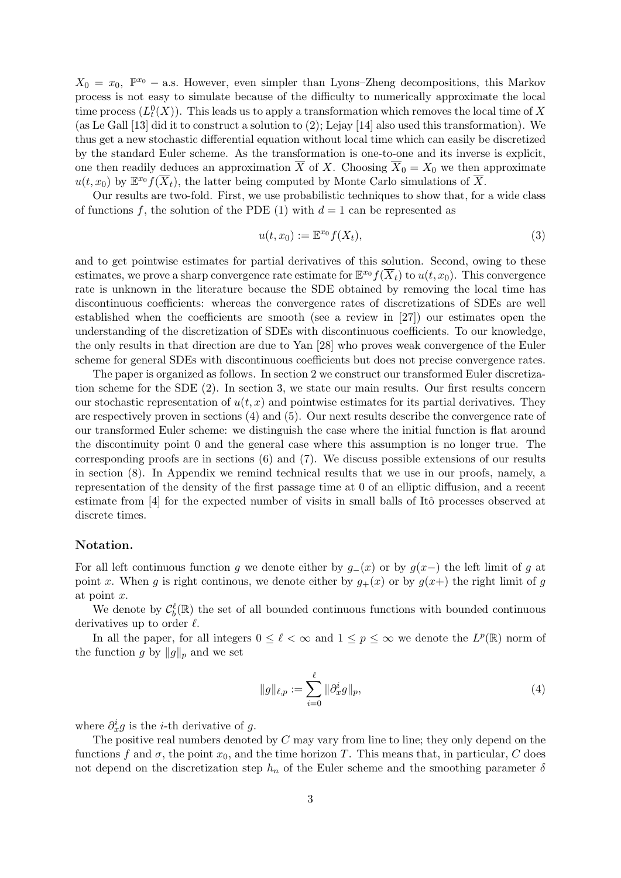$X_0 = x_0$ ,  $\mathbb{P}^{x_0}$  – a.s. However, even simpler than Lyons–Zheng decompositions, this Markov process is not easy to simulate because of the difficulty to numerically approximate the local time process  $(L_t^0(X))$ . This leads us to apply a transformation which removes the local time of X (as Le Gall [13] did it to construct a solution to (2); Lejay [14] also used this transformation). We thus get a new stochastic differential equation without local time which can easily be discretized by the standard Euler scheme. As the transformation is one-to-one and its inverse is explicit, one then readily deduces an approximation  $\overline{X}$  of X. Choosing  $\overline{X}_0 = X_0$  we then approximate  $u(t, x_0)$  by  $\mathbb{E}^{x_0} f(\overline{X}_t)$ , the latter being computed by Monte Carlo simulations of  $\overline{X}$ .

Our results are two-fold. First, we use probabilistic techniques to show that, for a wide class of functions f, the solution of the PDE (1) with  $d = 1$  can be represented as

$$
u(t, x_0) := \mathbb{E}^{x_0} f(X_t), \tag{3}
$$

and to get pointwise estimates for partial derivatives of this solution. Second, owing to these estimates, we prove a sharp convergence rate estimate for  $\mathbb{E}^{x_0} f(\overline{X}_t)$  to  $u(t, x_0)$ . This convergence rate is unknown in the literature because the SDE obtained by removing the local time has discontinuous coefficients: whereas the convergence rates of discretizations of SDEs are well established when the coefficients are smooth (see a review in [27]) our estimates open the understanding of the discretization of SDEs with discontinuous coefficients. To our knowledge, the only results in that direction are due to Yan [28] who proves weak convergence of the Euler scheme for general SDEs with discontinuous coefficients but does not precise convergence rates.

The paper is organized as follows. In section 2 we construct our transformed Euler discretization scheme for the SDE (2). In section 3, we state our main results. Our first results concern our stochastic representation of  $u(t, x)$  and pointwise estimates for its partial derivatives. They are respectively proven in sections (4) and (5). Our next results describe the convergence rate of our transformed Euler scheme: we distinguish the case where the initial function is flat around the discontinuity point 0 and the general case where this assumption is no longer true. The corresponding proofs are in sections  $(6)$  and  $(7)$ . We discuss possible extensions of our results in section (8). In Appendix we remind technical results that we use in our proofs, namely, a representation of the density of the first passage time at 0 of an elliptic diffusion, and a recent estimate from [4] for the expected number of visits in small balls of Itô processes observed at discrete times.

#### Notation.

For all left continuous function g we denote either by  $g_-(x)$  or by  $g(x-)$  the left limit of g at point x. When g is right continuous, we denote either by  $g_+(x)$  or by  $g(x+)$  the right limit of g at point x.

We denote by  $\mathcal{C}_b^{\ell}(\mathbb{R})$  the set of all bounded continuous functions with bounded continuous derivatives up to order  $\ell$ .

In all the paper, for all integers  $0 \leq \ell < \infty$  and  $1 \leq p \leq \infty$  we denote the  $L^p(\mathbb{R})$  norm of the function g by  $||g||_p$  and we set

$$
||g||_{\ell,p} := \sum_{i=0}^{\ell} ||\partial_x^i g||_p,
$$
\n(4)

where  $\partial_x^i g$  is the *i*-th derivative of g.

The positive real numbers denoted by  $C$  may vary from line to line; they only depend on the functions f and  $\sigma$ , the point  $x_0$ , and the time horizon T. This means that, in particular, C does not depend on the discretization step  $h_n$  of the Euler scheme and the smoothing parameter  $\delta$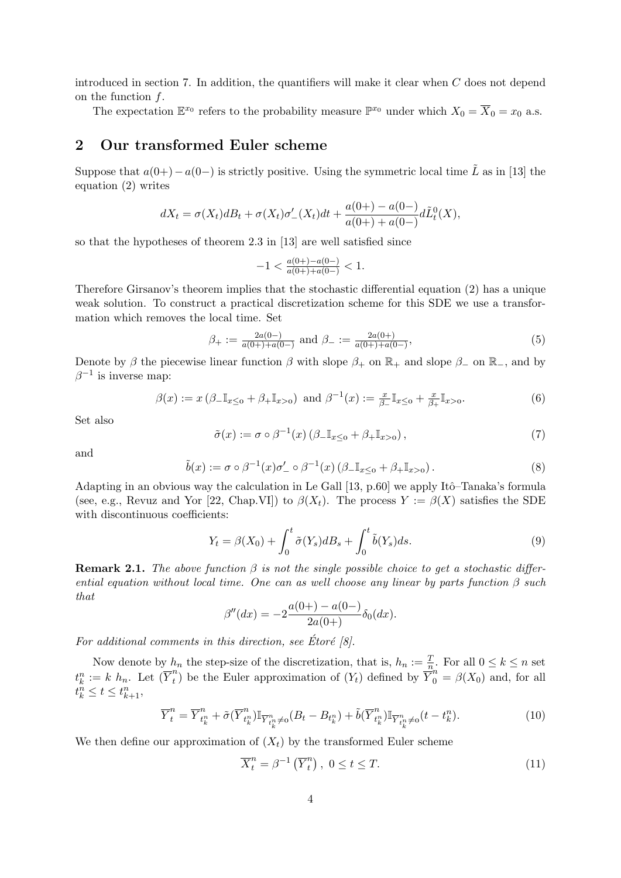introduced in section 7. In addition, the quantifiers will make it clear when C does not depend on the function  $f$ .

The expectation  $\mathbb{E}^{x_0}$  refers to the probability measure  $\mathbb{P}^{x_0}$  under which  $X_0 = \overline{X}_0 = x_0$  a.s.

## 2 Our transformed Euler scheme

Suppose that  $a(0+) - a(0-)$  is strictly positive. Using the symmetric local time  $\tilde{L}$  as in [13] the equation (2) writes

$$
dX_t = \sigma(X_t)dB_t + \sigma(X_t)\sigma'_{-}(X_t)dt + \frac{a(0+)-a(0-)}{a(0+)+a(0-)}d\tilde{L}_t^0(X),
$$

so that the hypotheses of theorem 2.3 in [13] are well satisfied since

$$
-1<\tfrac{a(0+)-a(0-)}{a(0+)+a(0-)}<1.
$$

Therefore Girsanov's theorem implies that the stochastic differential equation (2) has a unique weak solution. To construct a practical discretization scheme for this SDE we use a transformation which removes the local time. Set

$$
\beta_{+} := \frac{2a(0-)}{a(0+)+a(0-)} \text{ and } \beta_{-} := \frac{2a(0+)}{a(0+)+a(0-)},
$$
\n(5)

Denote by  $\beta$  the piecewise linear function  $\beta$  with slope  $\beta_+$  on  $\mathbb{R}_+$  and slope  $\beta_-$  on  $\mathbb{R}_-$ , and by  $\beta^{-1}$  is inverse map:

$$
\beta(x) := x \left( \beta_- \mathbb{I}_{x \leq 0} + \beta_+ \mathbb{I}_{x > 0} \right) \text{ and } \beta^{-1}(x) := \frac{x}{\beta_-} \mathbb{I}_{x \leq 0} + \frac{x}{\beta_+} \mathbb{I}_{x > 0}.
$$
 (6)

Set also

$$
\tilde{\sigma}(x) := \sigma \circ \beta^{-1}(x) \left( \beta \llcorner \mathbb{I}_{x \leq 0} + \beta \llcorner \mathbb{I}_{x > 0} \right),\tag{7}
$$

and

$$
\tilde{b}(x) := \sigma \circ \beta^{-1}(x)\sigma'_{-} \circ \beta^{-1}(x) \left(\beta_{-} \mathbb{I}_{x \leq 0} + \beta_{+} \mathbb{I}_{x > 0}\right). \tag{8}
$$

Adapting in an obvious way the calculation in Le Gall  $[13, p.60]$  we apply Itô–Tanaka's formula (see, e.g., Revuz and Yor [22, Chap.VI]) to  $\beta(X_t)$ . The process  $Y := \beta(X)$  satisfies the SDE with discontinuous coefficients:

$$
Y_t = \beta(X_0) + \int_0^t \tilde{\sigma}(Y_s) dB_s + \int_0^t \tilde{b}(Y_s) ds.
$$
\n(9)

**Remark 2.1.** The above function  $\beta$  is not the single possible choice to get a stochastic differential equation without local time. One can as well choose any linear by parts function  $\beta$  such that

$$
\beta''(dx) = -2\frac{a(0+)-a(0-)}{2a(0+)}\delta_0(dx).
$$

For additional comments in this direction, see Etoré  $[8]$ .

Now denote by  $h_n$  the step-size of the discretization, that is,  $h_n := \frac{T}{n}$ . For all  $0 \le k \le n$  set  $t_k^n := k \; h_n.$  Let  $(\overline{Y}_t^n)$ <sup>n</sup>) be the Euler approximation of  $(Y_t)$  defined by  $\overline{Y}_0^n = \beta(X_0)$  and, for all  $t_k^n \leq t \leq t_{k+1}^n,$ 

$$
\overline{Y}_t^n = \overline{Y}_{t_k^n}^n + \tilde{\sigma}(\overline{Y}_{t_k^n}^n) \mathbb{I}_{\overline{Y}_{t_k^n}^n \neq 0} (B_t - B_{t_k^n}) + \tilde{b}(\overline{Y}_{t_k^n}^n) \mathbb{I}_{\overline{Y}_{t_k^n}^n \neq 0} (t - t_k^n). \tag{10}
$$

We then define our approximation of  $(X_t)$  by the transformed Euler scheme

$$
\overline{X}_t^n = \beta^{-1} \left( \overline{Y}_t^n \right), \ 0 \le t \le T. \tag{11}
$$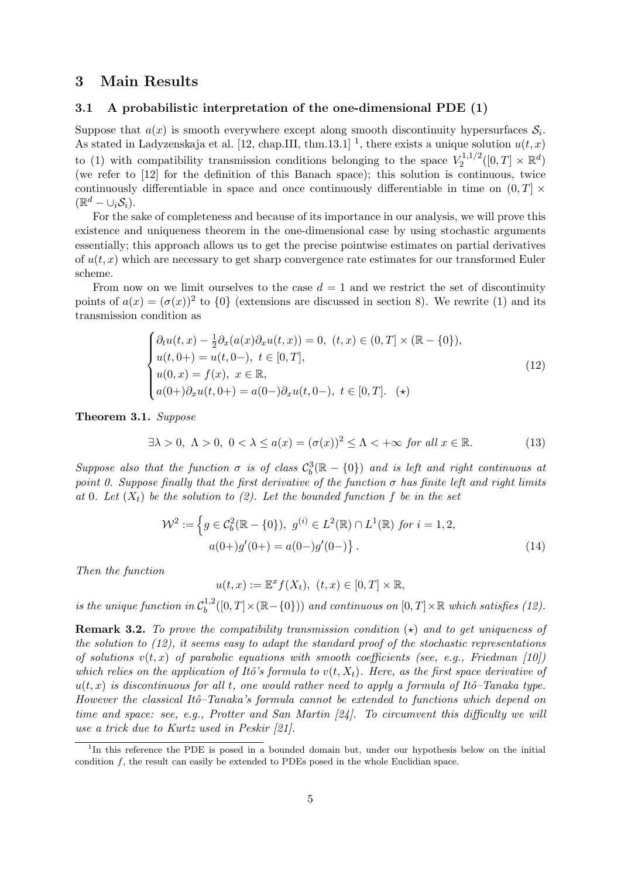## 3 Main Results

#### 3.1 A probabilistic interpretation of the one-dimensional PDE (1)

Suppose that  $a(x)$  is smooth everywhere except along smooth discontinuity hypersurfaces  $S_i$ . As stated in Ladyzenskaja et al. [12, chap.III, thm.13.1]<sup>1</sup>, there exists a unique solution  $u(t, x)$ to (1) with compatibility transmission conditions belonging to the space  $V_2^{1,1/2}$  $\mathbb{Z}_2^{1,1/2}([0,T] \times \mathbb{R}^d)$ (we refer to [12] for the definition of this Banach space); this solution is continuous, twice continuously differentiable in space and once continuously differentiable in time on  $(0, T] \times$  $(\mathbb{R}^d-\cup_i\mathcal{S}_i).$ 

For the sake of completeness and because of its importance in our analysis, we will prove this existence and uniqueness theorem in the one-dimensional case by using stochastic arguments essentially; this approach allows us to get the precise pointwise estimates on partial derivatives of  $u(t, x)$  which are necessary to get sharp convergence rate estimates for our transformed Euler scheme.

From now on we limit ourselves to the case  $d = 1$  and we restrict the set of discontinuity points of  $a(x) = (\sigma(x))^2$  to  $\{0\}$  (extensions are discussed in section 8). We rewrite (1) and its transmission condition as

$$
\begin{cases}\n\partial_t u(t,x) - \frac{1}{2} \partial_x (a(x) \partial_x u(t,x)) = 0, \ (t,x) \in (0,T] \times (\mathbb{R} - \{0\}), \\
u(t,0+) = u(t,0-), \ t \in [0,T], \\
u(0,x) = f(x), \ x \in \mathbb{R}, \\
a(0+) \partial_x u(t,0+) = a(0-) \partial_x u(t,0-), \ t \in [0,T]. \ \ (\star)\n\end{cases}
$$
\n(12)

Theorem 3.1. Suppose

$$
\exists \lambda > 0, \ \Lambda > 0, \ 0 < \lambda \le a(x) = (\sigma(x))^2 \le \Lambda < +\infty \text{ for all } x \in \mathbb{R}.
$$
 (13)

Suppose also that the function  $\sigma$  is of class  $C_b^3(\mathbb{R}-\{0\})$  and is left and right continuous at point 0. Suppose finally that the first derivative of the function  $\sigma$  has finite left and right limits at 0. Let  $(X_t)$  be the solution to (2). Let the bounded function f be in the set

$$
\mathcal{W}^2 := \left\{ g \in C_b^2(\mathbb{R} - \{0\}), \ g^{(i)} \in L^2(\mathbb{R}) \cap L^1(\mathbb{R}) \text{ for } i = 1, 2, \ a(0+)g'(0+) = a(0-)g'(0-) \right\}. \tag{14}
$$

Then the function

 $u(t,x) := \mathbb{E}^x f(X_t), \ (t,x) \in [0,T] \times \mathbb{R},$ 

is the unique function in  $C_b^{1,2}$  $b^{1,2}([0,T]\times(\mathbb{R}-\{0\}))$  and continuous on  $[0,T]\times\mathbb{R}$  which satisfies (12).

**Remark 3.2.** To prove the compatibility transmission condition  $(\star)$  and to get uniqueness of the solution to (12), it seems easy to adapt the standard proof of the stochastic representations of solutions  $v(t, x)$  of parabolic equations with smooth coefficients (see, e.g., Friedman [10]) which relies on the application of Itô's formula to  $v(t, X_t)$ . Here, as the first space derivative of  $u(t, x)$  is discontinuous for all t, one would rather need to apply a formula of Itô–Tanaka type. However the classical Itô–Tanaka's formula cannot be extended to functions which depend on time and space: see, e.g., Protter and San Martin [24]. To circumvent this difficulty we will use a trick due to Kurtz used in Peskir [21].

<sup>&</sup>lt;sup>1</sup>In this reference the PDE is posed in a bounded domain but, under our hypothesis below on the initial condition f, the result can easily be extended to PDEs posed in the whole Euclidian space.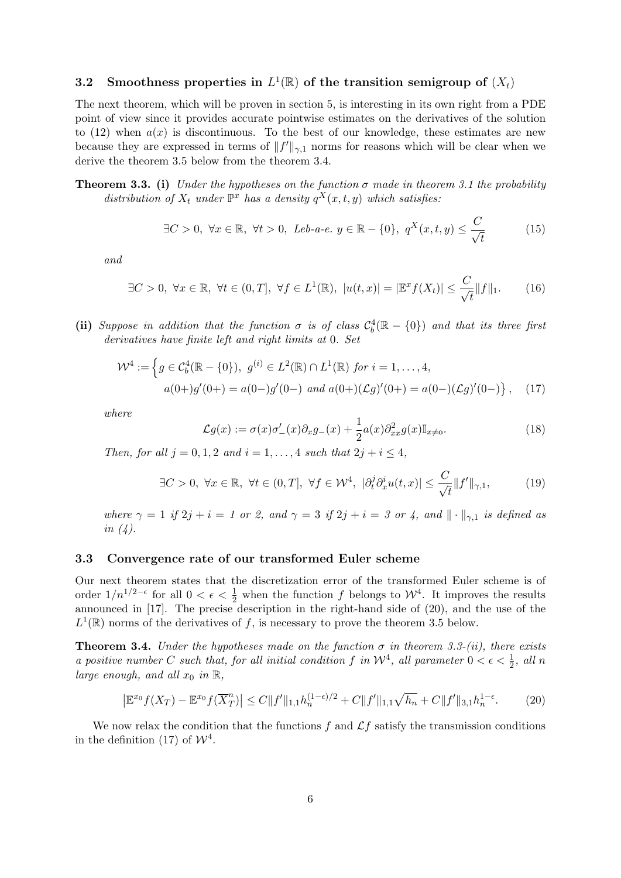## 3.2 Smoothness properties in  $L^1(\mathbb{R})$  of the transition semigroup of  $(X_t)$

The next theorem, which will be proven in section 5, is interesting in its own right from a PDE point of view since it provides accurate pointwise estimates on the derivatives of the solution to (12) when  $a(x)$  is discontinuous. To the best of our knowledge, these estimates are new because they are expressed in terms of  $||f'||_{\gamma,1}$  norms for reasons which will be clear when we derive the theorem 3.5 below from the theorem 3.4.

**Theorem 3.3.** (i) Under the hypotheses on the function  $\sigma$  made in theorem 3.1 the probability distribution of  $X_t$  under  $\mathbb{P}^x$  has a density  $q^X(x,t,y)$  which satisfies:

$$
\exists C > 0, \ \forall x \in \mathbb{R}, \ \forall t > 0, \ Leb-a-e. \ y \in \mathbb{R} - \{0\}, \ q^X(x, t, y) \le \frac{C}{\sqrt{t}} \tag{15}
$$

 $\sim$ 

and

$$
\exists C > 0, \ \forall x \in \mathbb{R}, \ \forall t \in (0, T], \ \forall f \in L^{1}(\mathbb{R}), \ |u(t, x)| = |\mathbb{E}^{x} f(X_{t})| \leq \frac{C}{\sqrt{t}} \|f\|_{1}.\tag{16}
$$

(ii) Suppose in addition that the function  $\sigma$  is of class  $C_b^4(\mathbb{R} - \{0\})$  and that its three first derivatives have finite left and right limits at 0. Set

$$
\mathcal{W}^4 := \left\{ g \in C_b^4(\mathbb{R} - \{0\}), \ g^{(i)} \in L^2(\mathbb{R}) \cap L^1(\mathbb{R}) \text{ for } i = 1, \dots, 4, \right.
$$
  

$$
a(0+)g'(0+) = a(0-)g'(0-) \text{ and } a(0+)(\mathcal{L}g)'(0+) = a(0-)(\mathcal{L}g)'(0-) \right\}, \quad (17)
$$

where

$$
\mathcal{L}g(x) := \sigma(x)\sigma'_{-}(x)\partial_x g_{-}(x) + \frac{1}{2}a(x)\partial_{xx}^2 g(x)\mathbb{I}_{x\neq 0}.
$$
\n(18)

Then, for all  $j = 0, 1, 2$  and  $i = 1, ..., 4$  such that  $2j + i \leq 4$ ,

$$
\exists C > 0, \ \forall x \in \mathbb{R}, \ \forall t \in (0, T], \ \forall f \in \mathcal{W}^4, \ |\partial_t^j \partial_x^i u(t, x)| \le \frac{C}{\sqrt{t}} \|f'\|_{\gamma, 1},\tag{19}
$$

where  $\gamma = 1$  if  $2j + i = 1$  or 2, and  $\gamma = 3$  if  $2j + i = 3$  or 4, and  $\|\cdot\|_{\gamma,1}$  is defined as in  $(4)$ .

#### 3.3 Convergence rate of our transformed Euler scheme

Our next theorem states that the discretization error of the transformed Euler scheme is of order  $1/n^{1/2-\epsilon}$  for all  $0 < \epsilon < \frac{1}{2}$  when the function f belongs to  $\mathcal{W}^4$ . It improves the results announced in [17]. The precise description in the right-hand side of (20), and the use of the  $L^1(\mathbb{R})$  norms of the derivatives of f, is necessary to prove the theorem 3.5 below.

**Theorem 3.4.** Under the hypotheses made on the function  $\sigma$  in theorem 3.3-(ii), there exists a positive number C such that, for all initial condition f in  $\mathcal{W}^4$ , all parameter  $0 < \epsilon < \frac{1}{2}$ , all n large enough, and all  $x_0$  in  $\mathbb{R}$ ,

$$
\left| \mathbb{E}^{x_0} f(X_T) - \mathbb{E}^{x_0} f(\overline{X}_T^n) \right| \le C \|f'\|_{1,1} h_n^{(1-\epsilon)/2} + C \|f'\|_{1,1} \sqrt{h_n} + C \|f'\|_{3,1} h_n^{1-\epsilon}.
$$
 (20)

We now relax the condition that the functions f and  $\mathcal{L}f$  satisfy the transmission conditions in the definition (17) of  $\mathcal{W}^4$ .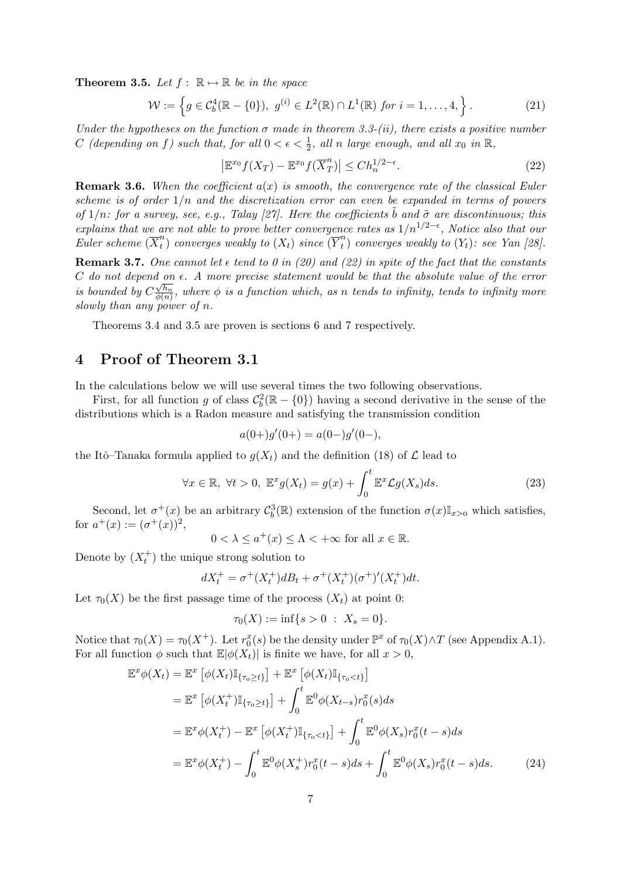**Theorem 3.5.** Let  $f : \mathbb{R} \mapsto \mathbb{R}$  be in the space

$$
\mathcal{W} := \left\{ g \in C_b^4(\mathbb{R} - \{0\}), \ g^{(i)} \in L^2(\mathbb{R}) \cap L^1(\mathbb{R}) \text{ for } i = 1, \dots, 4, \right\}.
$$
 (21)

Under the hypotheses on the function  $\sigma$  made in theorem 3.3-(ii), there exists a positive number C (depending on f) such that, for all  $0 < \epsilon < \frac{1}{2}$ , all n large enough, and all  $x_0$  in  $\mathbb{R}$ ,

$$
\left|\mathbb{E}^{x_0}f(X_T) - \mathbb{E}^{x_0}f(\overline{X}_T^n)\right| \le Ch_n^{1/2-\epsilon}.\tag{22}
$$

**Remark 3.6.** When the coefficient  $a(x)$  is smooth, the convergence rate of the classical Euler scheme is of order  $1/n$  and the discretization error can even be expanded in terms of powers of  $1/n$ : for a survey, see, e.g., Talay [27]. Here the coefficients  $\tilde{b}$  and  $\tilde{\sigma}$  are discontinuous; this explains that we are not able to prove better convergence rates as  $1/n^{1/2-\epsilon}$ , Notice also that our Euler scheme  $(\overline{X}_{t}^{n})$  $\overset{n}{(t)}$  converges weakly to  $(X_t)$  since  $(\overline{Y}^n_t)$  $t(t)$  converges weakly to  $(Y_t)$ : see Yan [28].

**Remark 3.7.** One cannot let  $\epsilon$  tend to 0 in (20) and (22) in spite of the fact that the constants  $C$  do not depend on  $\epsilon$ . A more precise statement would be that the absolute value of the error is bounded by  $C\frac{\sqrt{h_n}}{\phi(n)}$  $\frac{\sqrt{n_n}}{\phi(n)}$ , where  $\phi$  is a function which, as n tends to infinity, tends to infinity more slowly than any power of  $n$ .

Theorems 3.4 and 3.5 are proven is sections 6 and 7 respectively.

## 4 Proof of Theorem 3.1

In the calculations below we will use several times the two following observations.

First, for all function g of class  $\mathcal{C}_b^2(\mathbb{R} - \{0\})$  having a second derivative in the sense of the distributions which is a Radon measure and satisfying the transmission condition

$$
a(0+)g'(0+) = a(0-)g'(0-),
$$

the Itô–Tanaka formula applied to  $q(X_t)$  and the definition (18) of  $\mathcal L$  lead to

$$
\forall x \in \mathbb{R}, \ \forall t > 0, \ \mathbb{E}^x g(X_t) = g(x) + \int_0^t \mathbb{E}^x \mathcal{L}g(X_s) ds. \tag{23}
$$

Second, let  $\sigma^+(x)$  be an arbitrary  $\mathcal{C}_b^3(\mathbb{R})$  extension of the function  $\sigma(x)\mathbb{I}_{x>0}$  which satisfies, for  $a^+(x) := (\sigma^+(x))^2$ ,

 $0 < \lambda \leq a^+(x) \leq \Lambda < +\infty$  for all  $x \in \mathbb{R}$ .

Denote by  $(X_t^+)$  the unique strong solution to

$$
dX_t^+ = \sigma^+(X_t^+)dB_t + \sigma^+(X_t^+)(\sigma^+)'(X_t^+)dt.
$$

Let  $\tau_0(X)$  be the first passage time of the process  $(X_t)$  at point 0:

$$
\tau_0(X) := \inf\{s > 0 \; : \; X_s = 0\}.
$$

Notice that  $\tau_0(X) = \tau_0(X^+)$ . Let  $r_0^x(s)$  be the density under  $\mathbb{P}^x$  of  $\tau_0(X) \wedge T$  (see Appendix A.1). For all function  $\phi$  such that  $\mathbb{E}|\phi(X_t)|$  is finite we have, for all  $x > 0$ ,

$$
\mathbb{E}^{x}\phi(X_{t}) = \mathbb{E}^{x}\left[\phi(X_{t})\mathbb{I}_{\{\tau_{0}\geq t\}}\right] + \mathbb{E}^{x}\left[\phi(X_{t})\mathbb{I}_{\{\tau_{0}< t\}}\right] \n= \mathbb{E}^{x}\left[\phi(X_{t}^{+})\mathbb{I}_{\{\tau_{0}\geq t\}}\right] + \int_{0}^{t} \mathbb{E}^{0}\phi(X_{t-s})r_{0}^{x}(s)ds \n= \mathbb{E}^{x}\phi(X_{t}^{+}) - \mathbb{E}^{x}\left[\phi(X_{t}^{+})\mathbb{I}_{\{\tau_{0}< t\}}\right] + \int_{0}^{t} \mathbb{E}^{0}\phi(X_{s})r_{0}^{x}(t-s)ds \n= \mathbb{E}^{x}\phi(X_{t}^{+}) - \int_{0}^{t} \mathbb{E}^{0}\phi(X_{s}^{+})r_{0}^{x}(t-s)ds + \int_{0}^{t} \mathbb{E}^{0}\phi(X_{s})r_{0}^{x}(t-s)ds.
$$
\n(24)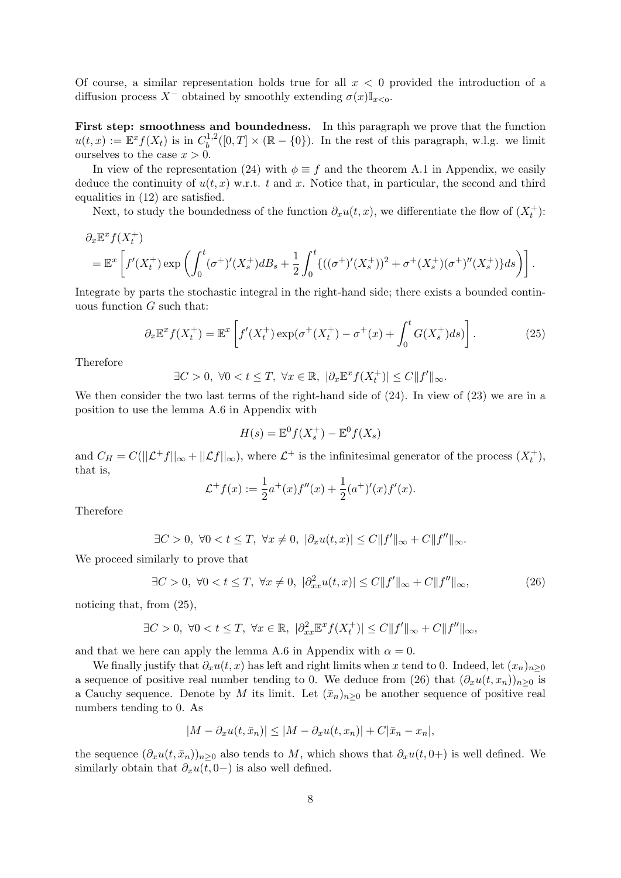Of course, a similar representation holds true for all  $x < 0$  provided the introduction of a diffusion process  $X^-$  obtained by smoothly extending  $\sigma(x)\mathbb{I}_{x<0}$ .

First step: smoothness and boundedness. In this paragraph we prove that the function  $u(t,x) := \mathbb{E}^x f(X_t)$  is in  $C_b^{1,2}$  $b^{1,2}([0,T] \times (\mathbb{R} - \{0\})$ . In the rest of this paragraph, w.l.g. we limit ourselves to the case  $x > 0$ .

In view of the representation (24) with  $\phi \equiv f$  and the theorem A.1 in Appendix, we easily deduce the continuity of  $u(t, x)$  w.r.t. t and x. Notice that, in particular, the second and third equalities in (12) are satisfied.

Next, to study the boundedness of the function  $\partial_x u(t, x)$ , we differentiate the flow of  $(X_t^+)$ :

$$
\partial_x \mathbb{E}^x f(X_t^+) = \mathbb{E}^x \left[ f'(X_t^+) \exp \left( \int_0^t (\sigma^+)'(X_s^+) dB_s + \frac{1}{2} \int_0^t \{ ((\sigma^+)'(X_s^+))^2 + \sigma^+ (X_s^+) (\sigma^+)''(X_s^+) \} ds \right) \right].
$$

Integrate by parts the stochastic integral in the right-hand side; there exists a bounded continuous function  $G$  such that:

$$
\partial_x \mathbb{E}^x f(X_t^+) = \mathbb{E}^x \left[ f'(X_t^+) \exp(\sigma^+(X_t^+) - \sigma^+(x) + \int_0^t G(X_s^+) ds) \right]. \tag{25}
$$

Therefore

$$
\exists C > 0, \ \forall 0 < t \leq T, \ \forall x \in \mathbb{R}, \ |\partial_x \mathbb{E}^x f(X_t^+)| \leq C ||f'||_{\infty}.
$$

We then consider the two last terms of the right-hand side of  $(24)$ . In view of  $(23)$  we are in a position to use the lemma A.6 in Appendix with

$$
H(s) = \mathbb{E}^0 f(X_s^+) - \mathbb{E}^0 f(X_s)
$$

and  $C_H = C(||\mathcal{L}^+ f||_{\infty} + ||\mathcal{L}f||_{\infty})$ , where  $\mathcal{L}^+$  is the infinitesimal generator of the process  $(X_t^+),$ that is,

$$
\mathcal{L}^+f(x) := \frac{1}{2}a^+(x)f''(x) + \frac{1}{2}(a^+)'(x)f'(x).
$$

Therefore

$$
\exists C > 0, \ \forall 0 < t \le T, \ \forall x \ne 0, \ |\partial_x u(t, x)| \le C ||f'||_{\infty} + C ||f''||_{\infty}.
$$

We proceed similarly to prove that

$$
\exists C > 0, \ \forall 0 < t \le T, \ \forall x \ne 0, \ |\partial_{xx}^2 u(t, x)| \le C \|f'\|_{\infty} + C \|f''\|_{\infty},\tag{26}
$$

noticing that, from (25),

$$
\exists C > 0, \ \forall 0 < t \le T, \ \forall x \in \mathbb{R}, \ |\partial_{xx}^2 \mathbb{E}^x f(X_t^+)| \le C \|f'\|_{\infty} + C \|f''\|_{\infty},
$$

and that we here can apply the lemma A.6 in Appendix with  $\alpha = 0$ .

We finally justify that  $\partial_x u(t, x)$  has left and right limits when x tend to 0. Indeed, let  $(x_n)_{n>0}$ a sequence of positive real number tending to 0. We deduce from (26) that  $(\partial_x u(t, x_n))_{n>0}$  is a Cauchy sequence. Denote by M its limit. Let  $(\bar{x}_n)_{n\geq 0}$  be another sequence of positive real numbers tending to 0. As

$$
|M - \partial_x u(t, \bar{x}_n)| \le |M - \partial_x u(t, x_n)| + C|\bar{x}_n - x_n|,
$$

the sequence  $(\partial_x u(t, \bar{x}_n))_{n>0}$  also tends to M, which shows that  $\partial_x u(t, 0+)$  is well defined. We similarly obtain that  $\partial_x u(t, 0-)$  is also well defined.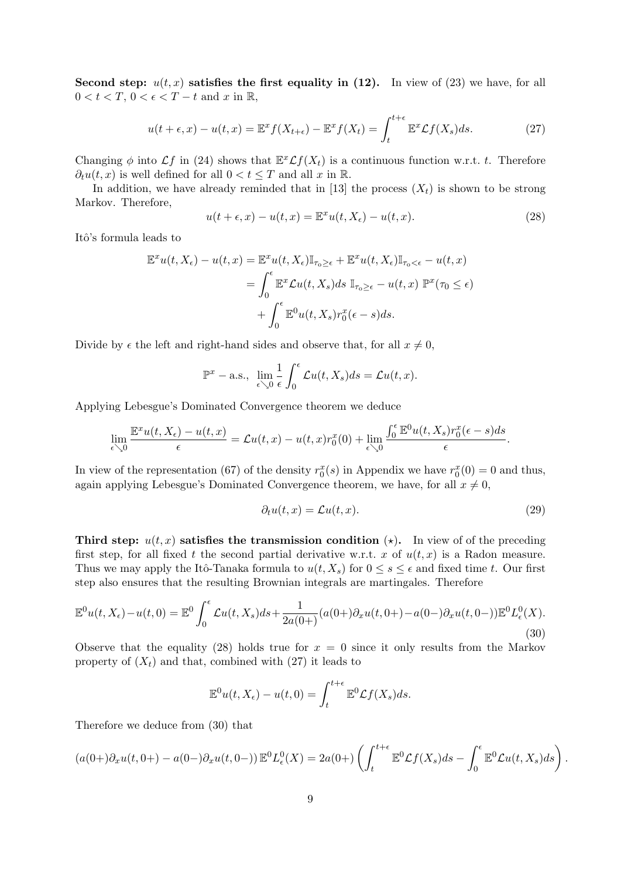Second step:  $u(t, x)$  satisfies the first equality in (12). In view of (23) we have, for all  $0 < t < T$ ,  $0 < \epsilon < T - t$  and x in R,

$$
u(t+\epsilon, x) - u(t, x) = \mathbb{E}^x f(X_{t+\epsilon}) - \mathbb{E}^x f(X_t) = \int_t^{t+\epsilon} \mathbb{E}^x \mathcal{L} f(X_s) ds.
$$
 (27)

Changing  $\phi$  into  $\mathcal{L}f$  in (24) shows that  $\mathbb{E}^x \mathcal{L}f(X_t)$  is a continuous function w.r.t. t. Therefore  $\partial_t u(t, x)$  is well defined for all  $0 < t \leq T$  and all x in R.

In addition, we have already reminded that in [13] the process  $(X_t)$  is shown to be strong Markov. Therefore,

$$
u(t+\epsilon, x) - u(t, x) = \mathbb{E}^x u(t, X_\epsilon) - u(t, x).
$$
\n(28)

Itô's formula leads to

$$
\mathbb{E}^{x}u(t, X_{\epsilon}) - u(t, x) = \mathbb{E}^{x}u(t, X_{\epsilon})\mathbb{I}_{\tau_{0}\geq\epsilon} + \mathbb{E}^{x}u(t, X_{\epsilon})\mathbb{I}_{\tau_{0}<\epsilon} - u(t, x) \n= \int_{0}^{\epsilon} \mathbb{E}^{x} \mathcal{L}u(t, X_{s}) ds \mathbb{I}_{\tau_{0}\geq\epsilon} - u(t, x) \mathbb{P}^{x}(\tau_{0} \leq \epsilon) \n+ \int_{0}^{\epsilon} \mathbb{E}^{0}u(t, X_{s}) r_{0}^{x}(\epsilon - s) ds.
$$

Divide by  $\epsilon$  the left and right-hand sides and observe that, for all  $x \neq 0$ ,

$$
\mathbb{P}^x - \text{a.s., } \lim_{\epsilon \searrow 0} \frac{1}{\epsilon} \int_0^{\epsilon} \mathcal{L}u(t, X_s) ds = \mathcal{L}u(t, x).
$$

Applying Lebesgue's Dominated Convergence theorem we deduce

$$
\lim_{\epsilon \searrow 0} \frac{\mathbb{E}^x u(t, X_{\epsilon}) - u(t, x)}{\epsilon} = \mathcal{L}u(t, x) - u(t, x)r_0^x(0) + \lim_{\epsilon \searrow 0} \frac{\int_0^{\epsilon} \mathbb{E}^0 u(t, X_s)r_0^x(\epsilon - s)ds}{\epsilon}.
$$

In view of the representation (67) of the density  $r_0^x(s)$  in Appendix we have  $r_0^x(0) = 0$  and thus, again applying Lebesgue's Dominated Convergence theorem, we have, for all  $x \neq 0$ ,

$$
\partial_t u(t, x) = \mathcal{L}u(t, x). \tag{29}
$$

.

Third step:  $u(t, x)$  satisfies the transmission condition ( $\star$ ). In view of of the preceding first step, for all fixed t the second partial derivative w.r.t. x of  $u(t, x)$  is a Radon measure. Thus we may apply the Itô-Tanaka formula to  $u(t, X_s)$  for  $0 \le s \le \epsilon$  and fixed time t. Our first step also ensures that the resulting Brownian integrals are martingales. Therefore

$$
\mathbb{E}^{0}u(t, X_{\epsilon}) - u(t, 0) = \mathbb{E}^{0} \int_{0}^{\epsilon} \mathcal{L}u(t, X_{s}) ds + \frac{1}{2a(0+)} (a(0+) \partial_{x} u(t, 0+) - a(0-) \partial_{x} u(t, 0-)) \mathbb{E}^{0} L_{\epsilon}^{0}(X).
$$
\n(30)

Observe that the equality (28) holds true for  $x = 0$  since it only results from the Markov property of  $(X_t)$  and that, combined with (27) it leads to

$$
\mathbb{E}^0 u(t, X_\epsilon) - u(t, 0) = \int_t^{t+\epsilon} \mathbb{E}^0 \mathcal{L}f(X_s) ds.
$$

Therefore we deduce from (30) that

$$
(a(0+) \partial_x u(t, 0+) - a(0-) \partial_x u(t, 0-)) \mathbb{E}^0 L^0_{\epsilon}(X) = 2a(0+) \left( \int_t^{t+\epsilon} \mathbb{E}^0 \mathcal{L}f(X_s) ds - \int_0^{\epsilon} \mathbb{E}^0 \mathcal{L}u(t, X_s) ds \right)
$$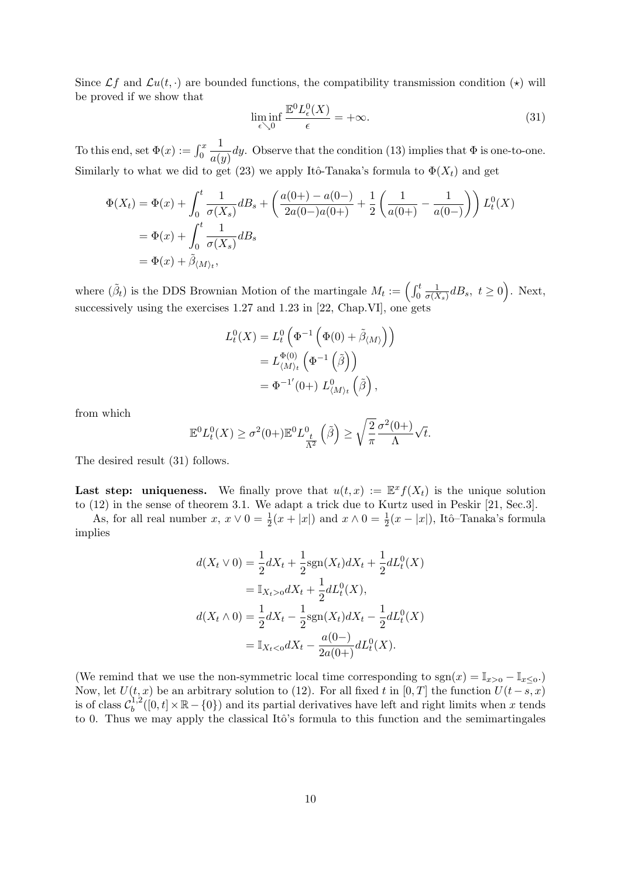Since  $\mathcal{L}f$  and  $\mathcal{L}u(t, \cdot)$  are bounded functions, the compatibility transmission condition  $(\star)$  will be proved if we show that

$$
\liminf_{\epsilon \searrow 0} \frac{\mathbb{E}^0 L^0_{\epsilon}(X)}{\epsilon} = +\infty. \tag{31}
$$

To this end, set  $\Phi(x) := \int_0^x$ 1  $\frac{1}{a(y)}$  dy. Observe that the condition (13) implies that  $\Phi$  is one-to-one. Similarly to what we did to get (23) we apply Itô-Tanaka's formula to  $\Phi(X_t)$  and get

$$
\Phi(X_t) = \Phi(x) + \int_0^t \frac{1}{\sigma(X_s)} dB_s + \left(\frac{a(0+)-a(0-)}{2a(0-)a(0+)} + \frac{1}{2} \left(\frac{1}{a(0+)} - \frac{1}{a(0-)}\right)\right) L_t^0(X)
$$
  
=  $\Phi(x) + \int_0^t \frac{1}{\sigma(X_s)} dB_s$   
=  $\Phi(x) + \tilde{\beta}_{\langle M \rangle_t}$ ,

where  $(\tilde{\beta}_t)$  is the DDS Brownian Motion of the martingale  $M_t := \begin{pmatrix} \int_0^t \end{pmatrix}$ 1  $\frac{1}{\sigma(X_s)}dB_s, t \ge 0$ . Next, successively using the exercises 1.27 and 1.23 in [22, Chap.VI], one gets

$$
L_t^0(X) = L_t^0\left(\Phi^{-1}\left(\Phi(0) + \tilde{\beta}_{\langle M \rangle}\right)\right)
$$
  
=  $L_{\langle M \rangle_t}^{\Phi(0)}\left(\Phi^{-1}\left(\tilde{\beta}\right)\right)$   
=  $\Phi^{-1'}(0+)$   $L_{\langle M \rangle_t}^0\left(\tilde{\beta}\right)$ ,

from which

$$
\mathbb{E}^0 L_t^0(X) \ge \sigma^2(0+) \mathbb{E}^0 L_{\frac{t}{\Lambda^2}}^0(\tilde{\beta}) \ge \sqrt{\frac{2}{\pi}} \frac{\sigma^2(0+)}{\Lambda} \sqrt{t}.
$$

The desired result (31) follows.

Last step: uniqueness. We finally prove that  $u(t,x) := \mathbb{E}^{x} f(X_t)$  is the unique solution to (12) in the sense of theorem 3.1. We adapt a trick due to Kurtz used in Peskir [21, Sec.3].

As, for all real number  $x, x \vee 0 = \frac{1}{2}(x + |x|)$  and  $x \wedge 0 = \frac{1}{2}(x - |x|)$ , Itô-Tanaka's formula implies

$$
d(X_t \vee 0) = \frac{1}{2}dX_t + \frac{1}{2}\text{sgn}(X_t)dX_t + \frac{1}{2}dL_t^0(X)
$$
  

$$
= \mathbb{I}_{X_t > 0}dX_t + \frac{1}{2}dL_t^0(X),
$$
  

$$
d(X_t \wedge 0) = \frac{1}{2}dX_t - \frac{1}{2}\text{sgn}(X_t)dX_t - \frac{1}{2}dL_t^0(X)
$$
  

$$
= \mathbb{I}_{X_t < 0}dX_t - \frac{a(0-)}{2a(0+)}dL_t^0(X).
$$

(We remind that we use the non-symmetric local time corresponding to  $sgn(x) = \mathbb{I}_{x>0} - \mathbb{I}_{x\leq 0}$ .) Now, let  $U(t, x)$  be an arbitrary solution to (12). For all fixed t in [0, T] the function  $U(t-s, x)$ is of class  $\mathcal{C}_b^{1,2}$  $b^{1,2}([0,t] \times \mathbb{R} - \{0\})$  and its partial derivatives have left and right limits when x tends to 0. Thus we may apply the classical Itô's formula to this function and the semimartingales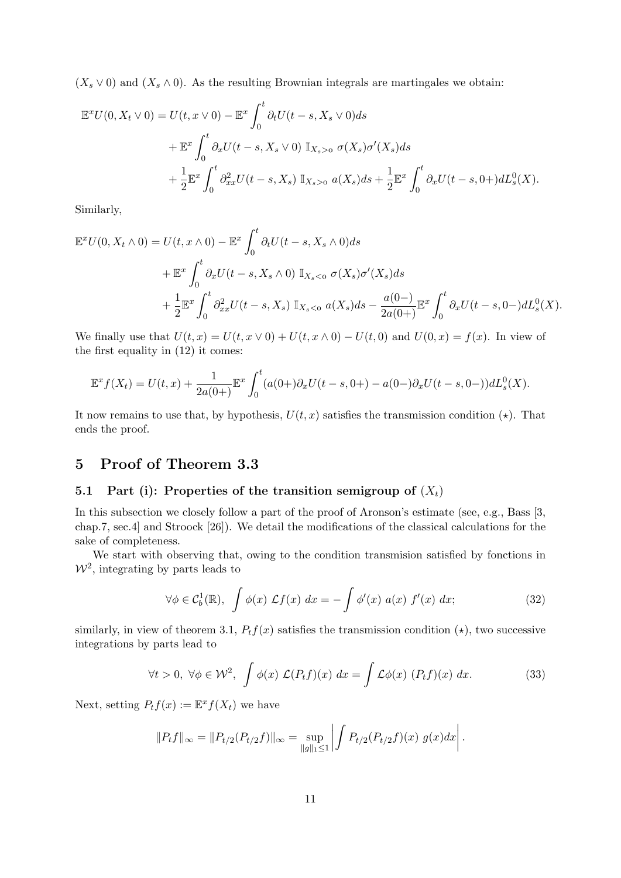$(X_s \vee 0)$  and  $(X_s \wedge 0)$ . As the resulting Brownian integrals are martingales we obtain:

$$
\mathbb{E}^{x}U(0, X_{t} \vee 0) = U(t, x \vee 0) - \mathbb{E}^{x} \int_{0}^{t} \partial_{t}U(t - s, X_{s} \vee 0) ds
$$
  
+ 
$$
\mathbb{E}^{x} \int_{0}^{t} \partial_{x}U(t - s, X_{s} \vee 0) \mathbb{I}_{X_{s} > 0} \sigma(X_{s})\sigma'(X_{s}) ds
$$
  
+ 
$$
\frac{1}{2} \mathbb{E}^{x} \int_{0}^{t} \partial_{xx}^{2}U(t - s, X_{s}) \mathbb{I}_{X_{s} > 0} a(X_{s}) ds + \frac{1}{2} \mathbb{E}^{x} \int_{0}^{t} \partial_{x}U(t - s, 0+) dL_{s}^{0}(X).
$$

Similarly,

$$
\mathbb{E}^{x}U(0, X_{t} \wedge 0) = U(t, x \wedge 0) - \mathbb{E}^{x} \int_{0}^{t} \partial_{t}U(t - s, X_{s} \wedge 0) ds \n+ \mathbb{E}^{x} \int_{0}^{t} \partial_{x}U(t - s, X_{s} \wedge 0) \mathbb{I}_{X_{s} < 0} \sigma(X_{s})\sigma'(X_{s}) ds \n+ \frac{1}{2} \mathbb{E}^{x} \int_{0}^{t} \partial_{xx}^{2}U(t - s, X_{s}) \mathbb{I}_{X_{s} < 0} a(X_{s}) ds - \frac{a(0 - )}{2a(0 + )} \mathbb{E}^{x} \int_{0}^{t} \partial_{x}U(t - s, 0 -) dL_{s}^{0}(X).
$$

We finally use that  $U(t, x) = U(t, x \vee 0) + U(t, x \wedge 0) - U(t, 0)$  and  $U(0, x) = f(x)$ . In view of the first equality in (12) it comes:

$$
\mathbb{E}^{x} f(X_{t}) = U(t, x) + \frac{1}{2a(0+)} \mathbb{E}^{x} \int_{0}^{t} (a(0+)\partial_{x}U(t-s, 0+)-a(0-)\partial_{x}U(t-s, 0-))dL_{s}^{0}(X).
$$

It now remains to use that, by hypothesis,  $U(t, x)$  satisfies the transmission condition  $(\star)$ . That ends the proof.

## 5 Proof of Theorem 3.3

#### 5.1 Part (i): Properties of the transition semigroup of  $(X_t)$

In this subsection we closely follow a part of the proof of Aronson's estimate (see, e.g., Bass [3, chap.7, sec.4] and Stroock [26]). We detail the modifications of the classical calculations for the sake of completeness.

We start with observing that, owing to the condition transmision satisfied by fonctions in  $W^2$ , integrating by parts leads to

$$
\forall \phi \in C_b^1(\mathbb{R}), \int \phi(x) \mathcal{L}f(x) dx = -\int \phi'(x) a(x) f'(x) dx; \tag{32}
$$

similarly, in view of theorem 3.1,  $P_t f(x)$  satisfies the transmission condition  $(\star)$ , two successive integrations by parts lead to

$$
\forall t > 0, \ \forall \phi \in \mathcal{W}^2, \ \int \phi(x) \ \mathcal{L}(P_t f)(x) \ dx = \int \mathcal{L}\phi(x) \ (P_t f)(x) \ dx. \tag{33}
$$

Next, setting  $P_t f(x) := \mathbb{E}^x f(X_t)$  we have

$$
||P_t f||_{\infty} = ||P_{t/2}(P_{t/2}f)||_{\infty} = \sup_{||g||_1 \le 1} \left| \int P_{t/2}(P_{t/2}f)(x) g(x) dx \right|.
$$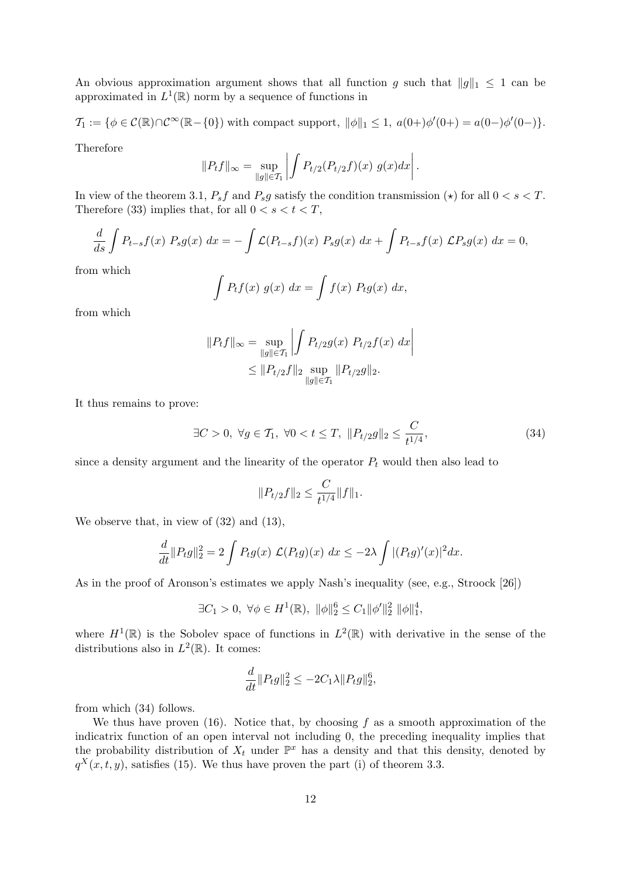An obvious approximation argument shows that all function g such that  $||g||_1 \leq 1$  can be approximated in  $L^1(\mathbb{R})$  norm by a sequence of functions in

$$
\mathcal{T}_1 := \{ \phi \in \mathcal{C}(\mathbb{R}) \cap \mathcal{C}^{\infty}(\mathbb{R} - \{0\}) \text{ with compact support, } ||\phi||_1 \leq 1, \ a(0+) \phi'(0+) = a(0-) \phi'(0-) \}.
$$

Therefore

$$
||P_t f||_{\infty} = \sup_{||g|| \in \mathcal{T}_1} \left| \int P_{t/2}(P_{t/2}f)(x) g(x) dx \right|.
$$

In view of the theorem 3.1,  $P_s f$  and  $P_s g$  satisfy the condition transmission ( $\star$ ) for all  $0 < s < T$ . Therefore (33) implies that, for all  $0 < s < t < T$ ,

$$
\frac{d}{ds}\int P_{t-s}f(x) P_s g(x) dx = -\int \mathcal{L}(P_{t-s}f)(x) P_s g(x) dx + \int P_{t-s}f(x) \mathcal{L}P_s g(x) dx = 0,
$$

from which

$$
\int P_t f(x) g(x) dx = \int f(x) P_t g(x) dx,
$$

from which

$$
||P_t f||_{\infty} = \sup_{||g|| \in \mathcal{T}_1} \left| \int P_{t/2} g(x) P_{t/2} f(x) dx \right|
$$
  
 
$$
\leq ||P_{t/2} f||_2 \sup_{||g|| \in \mathcal{T}_1} ||P_{t/2} g||_2.
$$

It thus remains to prove:

$$
\exists C > 0, \ \forall g \in \mathcal{T}_1, \ \forall 0 < t \le T, \ \|P_{t/2}g\|_2 \le \frac{C}{t^{1/4}},\tag{34}
$$

since a density argument and the linearity of the operator  $P_t$  would then also lead to

$$
||P_{t/2}f||_2 \leq \frac{C}{t^{1/4}}||f||_1.
$$

We observe that, in view of  $(32)$  and  $(13)$ ,

$$
\frac{d}{dt}||P_t g||_2^2 = 2 \int P_t g(x) \mathcal{L}(P_t g)(x) dx \le -2\lambda \int |(P_t g)'(x)|^2 dx.
$$

As in the proof of Aronson's estimates we apply Nash's inequality (see, e.g., Stroock [26])

$$
\exists C_1 > 0, \ \forall \phi \in H^1(\mathbb{R}), \ \|\phi\|_2^6 \le C_1 \|\phi'\|_2^2 \ \|\phi\|_1^4,
$$

where  $H^1(\mathbb{R})$  is the Sobolev space of functions in  $L^2(\mathbb{R})$  with derivative in the sense of the distributions also in  $L^2(\mathbb{R})$ . It comes:

$$
\frac{d}{dt} ||P_t g||_2^2 \le -2C_1 \lambda ||P_t g||_2^6,
$$

from which (34) follows.

We thus have proven (16). Notice that, by choosing  $f$  as a smooth approximation of the indicatrix function of an open interval not including 0, the preceding inequality implies that the probability distribution of  $X_t$  under  $\mathbb{P}^x$  has a density and that this density, denoted by  $q^X(x,t,y)$ , satisfies (15). We thus have proven the part (i) of theorem 3.3.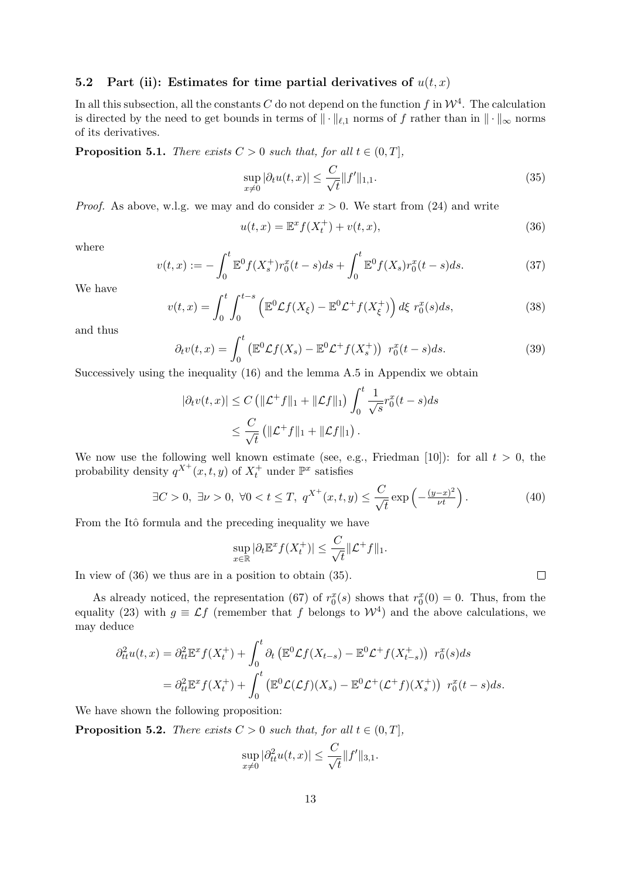#### 5.2 Part (ii): Estimates for time partial derivatives of  $u(t, x)$

In all this subsection, all the constants C do not depend on the function f in  $\mathcal{W}^4$ . The calculation is directed by the need to get bounds in terms of  $\|\cdot\|_{\ell,1}$  norms of f rather than in  $\|\cdot\|_{\infty}$  norms of its derivatives.

**Proposition 5.1.** There exists  $C > 0$  such that, for all  $t \in (0, T]$ ,

$$
\sup_{x \neq 0} |\partial_t u(t, x)| \leq \frac{C}{\sqrt{t}} \|f'\|_{1,1}.
$$
\n(35)

*Proof.* As above, w.l.g. we may and do consider  $x > 0$ . We start from (24) and write

$$
u(t,x) = \mathbb{E}^x f(X_t^+) + v(t,x),
$$
\n(36)

where

$$
v(t,x) := -\int_0^t \mathbb{E}^0 f(X_s^+) r_0^x(t-s) ds + \int_0^t \mathbb{E}^0 f(X_s) r_0^x(t-s) ds.
$$
 (37)

We have

$$
v(t,x) = \int_0^t \int_0^{t-s} \left( \mathbb{E}^0 \mathcal{L}f(X_\xi) - \mathbb{E}^0 \mathcal{L}^+ f(X_\xi^+) \right) d\xi \ r_0^x(s) ds, \tag{38}
$$

and thus

$$
\partial_t v(t, x) = \int_0^t \left( \mathbb{E}^0 \mathcal{L}f(X_s) - \mathbb{E}^0 \mathcal{L}^+ f(X_s^+) \right) r_0^x(t - s) ds. \tag{39}
$$

Successively using the inequality (16) and the lemma A.5 in Appendix we obtain

$$
|\partial_t v(t, x)| \le C \left( ||\mathcal{L}^+ f||_1 + ||\mathcal{L} f||_1 \right) \int_0^t \frac{1}{\sqrt{s}} r_0^x(t - s) ds
$$
  

$$
\le \frac{C}{\sqrt{t}} \left( ||\mathcal{L}^+ f||_1 + ||\mathcal{L} f||_1 \right).
$$

We now use the following well known estimate (see, e.g., Friedman [10]): for all  $t > 0$ , the probability density  $q^{X^+}(x, t, y)$  of  $X_t^+$  under  $\mathbb{P}^x$  satisfies

$$
\exists C > 0, \ \exists \nu > 0, \ \forall 0 < t \le T, \ q^{X^+}(x, t, y) \le \frac{C}{\sqrt{t}} \exp\left(-\frac{(y-x)^2}{\nu t}\right). \tag{40}
$$

From the Itô formula and the preceding inequality we have

$$
\sup_{x \in \mathbb{R}} |\partial_t \mathbb{E}^x f(X_t^+)| \leq \frac{C}{\sqrt{t}} ||\mathcal{L}^+ f||_1.
$$

In view of (36) we thus are in a position to obtain (35).

As already noticed, the representation (67) of  $r_0^x(s)$  shows that  $r_0^x(0) = 0$ . Thus, from the equality (23) with  $g \equiv \mathcal{L}f$  (remember that f belongs to  $\mathcal{W}^4$ ) and the above calculations, we may deduce

$$
\partial_{tt}^2 u(t,x) = \partial_{tt}^2 \mathbb{E}^x f(X_t^+) + \int_0^t \partial_t \left( \mathbb{E}^0 \mathcal{L} f(X_{t-s}) - \mathbb{E}^0 \mathcal{L}^+ f(X_{t-s}^+) \right) r_0^x(s) ds
$$
  
= 
$$
\partial_{tt}^2 \mathbb{E}^x f(X_t^+) + \int_0^t \left( \mathbb{E}^0 \mathcal{L}(\mathcal{L} f)(X_s) - \mathbb{E}^0 \mathcal{L}^+ (\mathcal{L}^+ f)(X_s^+) \right) r_0^x(t-s) ds.
$$

We have shown the following proposition:

**Proposition 5.2.** There exists  $C > 0$  such that, for all  $t \in (0, T]$ ,

$$
\sup_{x\neq 0} |\partial_{tt}^2 u(t,x)| \leq \frac{C}{\sqrt{t}} ||f'||_{3,1}.
$$

 $\Box$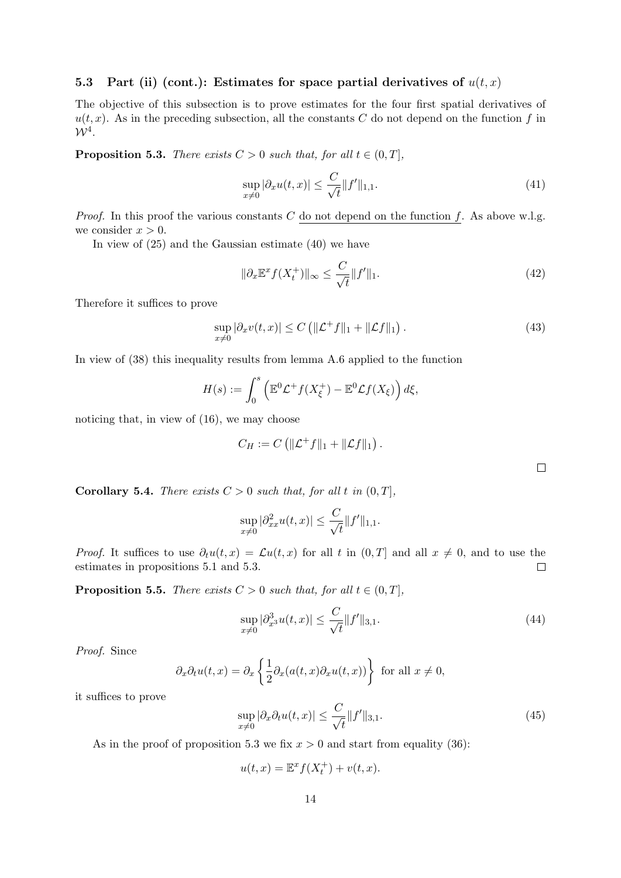### 5.3 Part (ii) (cont.): Estimates for space partial derivatives of  $u(t, x)$

The objective of this subsection is to prove estimates for the four first spatial derivatives of  $u(t, x)$ . As in the preceding subsection, all the constants C do not depend on the function f in  $W^4$ .

**Proposition 5.3.** There exists  $C > 0$  such that, for all  $t \in (0, T]$ ,

$$
\sup_{x \neq 0} |\partial_x u(t, x)| \leq \frac{C}{\sqrt{t}} \|f'\|_{1, 1}.
$$
\n(41)

*Proof.* In this proof the various constants C do not depend on the function f. As above w.l.g. we consider  $x > 0$ .

In view of (25) and the Gaussian estimate (40) we have

$$
\|\partial_x \mathbb{E}^x f(X_t^+) \|_{\infty} \le \frac{C}{\sqrt{t}} \|f'\|_1. \tag{42}
$$

Therefore it suffices to prove

$$
\sup_{x\neq 0} |\partial_x v(t,x)| \le C \left( \|\mathcal{L}^+ f\|_1 + \|\mathcal{L} f\|_1 \right). \tag{43}
$$

In view of (38) this inequality results from lemma A.6 applied to the function

$$
H(s) := \int_0^s \left( \mathbb{E}^0 \mathcal{L}^+ f(X_{\xi}^+) - \mathbb{E}^0 \mathcal{L} f(X_{\xi}) \right) d\xi,
$$

noticing that, in view of (16), we may choose

$$
C_H := C \left( \|\mathcal{L}^+ f\|_1 + \|\mathcal{L} f\|_1 \right).
$$

 $\Box$ 

**Corollary 5.4.** There exists  $C > 0$  such that, for all t in  $(0, T]$ ,

$$
\sup_{x \neq 0} |\partial_{xx}^2 u(t, x)| \leq \frac{C}{\sqrt{t}} ||f'||_{1,1}.
$$

*Proof.* It suffices to use  $\partial_t u(t, x) = \mathcal{L}u(t, x)$  for all t in  $(0, T]$  and all  $x \neq 0$ , and to use the estimates in propositions 5.1 and 5.3. estimates in propositions 5.1 and 5.3.

**Proposition 5.5.** There exists  $C > 0$  such that, for all  $t \in (0, T]$ ,

$$
\sup_{x \neq 0} |\partial_{x^3}^3 u(t, x)| \leq \frac{C}{\sqrt{t}} \|f'\|_{3,1}.
$$
\n(44)

Proof. Since

$$
\partial_x \partial_t u(t, x) = \partial_x \left\{ \frac{1}{2} \partial_x (a(t, x) \partial_x u(t, x)) \right\} \text{ for all } x \neq 0,
$$

it suffices to prove

$$
\sup_{x \neq 0} |\partial_x \partial_t u(t, x)| \leq \frac{C}{\sqrt{t}} \|f'\|_{3,1}.
$$
\n(45)

As in the proof of proposition 5.3 we fix  $x > 0$  and start from equality (36):

$$
u(t,x) = \mathbb{E}^x f(X_t^+) + v(t,x).
$$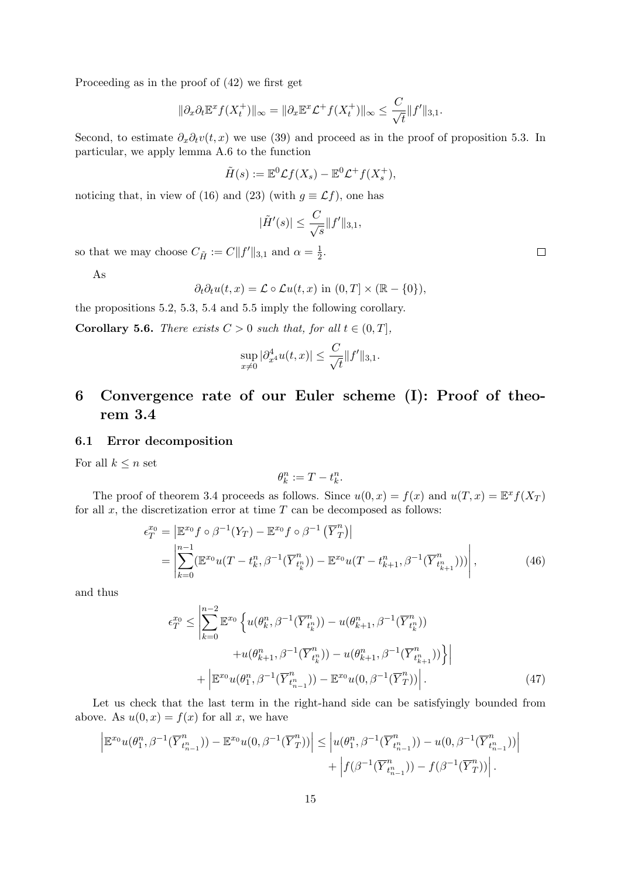Proceeding as in the proof of (42) we first get

$$
\|\partial_x \partial_t \mathbb{E}^x f(X_t^+) \|_{\infty} = \|\partial_x \mathbb{E}^x \mathcal{L}^+ f(X_t^+) \|_{\infty} \le \frac{C}{\sqrt{t}} \|f'\|_{3,1}.
$$

Second, to estimate  $\partial_x \partial_t v(t, x)$  we use (39) and proceed as in the proof of proposition 5.3. In particular, we apply lemma A.6 to the function

$$
\tilde{H}(s) := \mathbb{E}^0 \mathcal{L}f(X_s) - \mathbb{E}^0 \mathcal{L}^+ f(X_s^+),
$$

noticing that, in view of (16) and (23) (with  $g \equiv \mathcal{L}f$ ), one has

$$
|\tilde{H}'(s)| \le \frac{C}{\sqrt{s}} \|f'\|_{3,1},
$$

so that we may choose  $C_{\tilde{H}} := C||f'||_{3,1}$  and  $\alpha = \frac{1}{2}$  $rac{1}{2}$ .

As

 $\partial_t \partial_t u(t, x) = \mathcal{L} \circ \mathcal{L} u(t, x)$  in  $(0, T] \times (\mathbb{R} - \{0\}),$ 

the propositions 5.2, 5.3, 5.4 and 5.5 imply the following corollary.

**Corollary 5.6.** There exists  $C > 0$  such that, for all  $t \in (0, T]$ ,

$$
\sup_{x \neq 0} |\partial_{x^4}^4 u(t, x)| \leq \frac{C}{\sqrt{t}} ||f'||_{3,1}.
$$

## 6 Convergence rate of our Euler scheme (I): Proof of theorem 3.4

#### 6.1 Error decomposition

For all  $k \leq n$  set

$$
\theta_k^n := T - t_k^n.
$$

The proof of theorem 3.4 proceeds as follows. Since  $u(0, x) = f(x)$  and  $u(T, x) = \mathbb{E}^x f(X_T)$ for all  $x$ , the discretization error at time  $T$  can be decomposed as follows:

$$
\epsilon_T^{x_0} = \left| \mathbb{E}^{x_0} f \circ \beta^{-1} (Y_T) - \mathbb{E}^{x_0} f \circ \beta^{-1} (\overline{Y}^n_T) \right|
$$
  
= 
$$
\left| \sum_{k=0}^{n-1} (\mathbb{E}^{x_0} u(T - t_k^n, \beta^{-1} (\overline{Y}^n_{t_k^n})) - \mathbb{E}^{x_0} u(T - t_{k+1}^n, \beta^{-1} (\overline{Y}^n_{t_{k+1}^n}))) \right|,
$$
 (46)

and thus

$$
\epsilon_T^{x_0} \le \left| \sum_{k=0}^{n-2} \mathbb{E}^{x_0} \left\{ u(\theta_k^n, \beta^{-1}(\overline{Y}_{t_k^n}^n)) - u(\theta_{k+1}^n, \beta^{-1}(\overline{Y}_{t_k^n}^n)) \right. \\ \left. + u(\theta_{k+1}^n, \beta^{-1}(\overline{Y}_{t_k^n}^n)) - u(\theta_{k+1}^n, \beta^{-1}(\overline{Y}_{t_k^n+1}^n)) \right\} \right| \\ + \left| \mathbb{E}^{x_0} u(\theta_1^n, \beta^{-1}(\overline{Y}_{t_{n-1}^n}^n)) - \mathbb{E}^{x_0} u(0, \beta^{-1}(\overline{Y}_T^n)) \right|.
$$
 (47)

Let us check that the last term in the right-hand side can be satisfyingly bounded from above. As  $u(0, x) = f(x)$  for all x, we have

$$
\left| \mathbb{E}^{x_0} u(\theta_1^n, \beta^{-1}(\overline{Y}_{t_{n-1}}^n)) - \mathbb{E}^{x_0} u(0, \beta^{-1}(\overline{Y}_{T}^n)) \right| \leq \left| u(\theta_1^n, \beta^{-1}(\overline{Y}_{t_{n-1}}^n)) - u(0, \beta^{-1}(\overline{Y}_{t_{n-1}}^n)) \right| + \left| f(\beta^{-1}(\overline{Y}_{t_{n-1}}^n)) - f(\beta^{-1}(\overline{Y}_{T}^n)) \right|.
$$

 $\Box$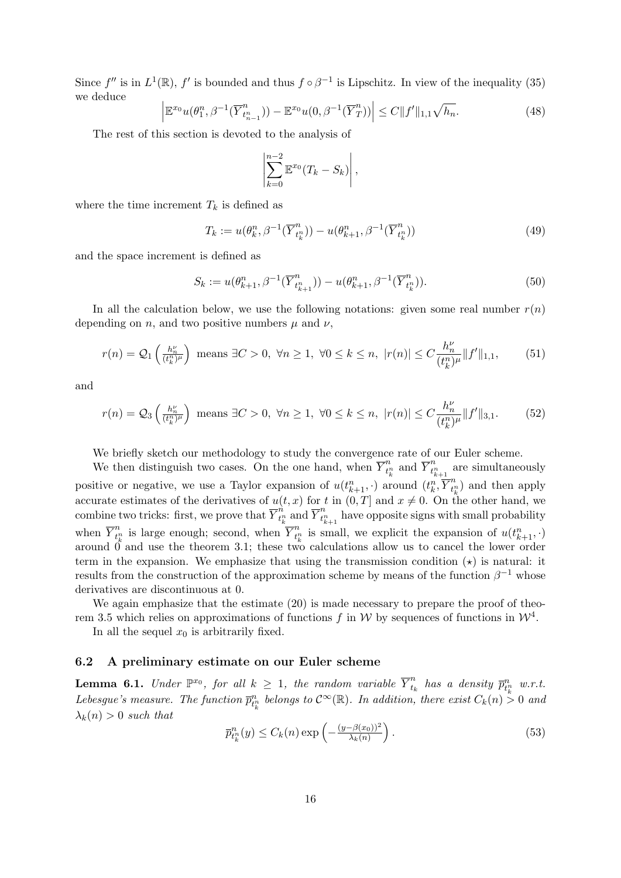Since  $f''$  is in  $L^1(\mathbb{R})$ ,  $f'$  is bounded and thus  $f \circ \beta^{-1}$  is Lipschitz. In view of the inequality (35) we deduce

$$
\left| \mathbb{E}^{x_0} u(\theta_1^n, \beta^{-1}(\overline{Y}_{t_{n-1}}^n)) - \mathbb{E}^{x_0} u(0, \beta^{-1}(\overline{Y}_T^n)) \right| \le C \|f'\|_{1,1} \sqrt{h_n}.
$$
\n(48)

The rest of this section is devoted to the analysis of

$$
\left|\sum_{k=0}^{n-2} \mathbb{E}^{x_0}(T_k - S_k)\right|,
$$

where the time increment  $T_k$  is defined as

$$
T_k := u(\theta_k^n, \beta^{-1}(\overline{Y}_{t_k^n}^n)) - u(\theta_{k+1}^n, \beta^{-1}(\overline{Y}_{t_k^n}^n))
$$
\n(49)

and the space increment is defined as

$$
S_k := u(\theta_{k+1}^n, \beta^{-1}(\overline{Y}_{t_{k+1}^n}^n)) - u(\theta_{k+1}^n, \beta^{-1}(\overline{Y}_{t_k^n}^n)).
$$
\n(50)

In all the calculation below, we use the following notations: given some real number  $r(n)$ depending on n, and two positive numbers  $\mu$  and  $\nu$ ,

$$
r(n) = Q_1\left(\frac{h_n^{\nu}}{(t_k^n)^{\mu}}\right) \text{ means } \exists C > 0, \ \forall n \ge 1, \ \forall 0 \le k \le n, \ |r(n)| \le C \frac{h_n^{\nu}}{(t_k^n)^{\mu}} \|f'\|_{1,1},\tag{51}
$$

and

$$
r(n) = Q_3\left(\frac{h_n^{\nu}}{(t_k^n)^{\mu}}\right) \text{ means } \exists C > 0, \ \forall n \ge 1, \ \forall 0 \le k \le n, \ |r(n)| \le C \frac{h_n^{\nu}}{(t_k^n)^{\mu}} \|f'\|_{3,1}.\tag{52}
$$

We briefly sketch our methodology to study the convergence rate of our Euler scheme.

We then distinguish two cases. On the one hand, when  $\overline{Y}_{t}^{n}$  $\frac{n}{t_k^n}$  and  $\overline{Y}_{t_k^n}^n$  $t_{k+1}^n$  are simultaneously positive or negative, we use a Taylor expansion of  $u(t_{k+1}^n, \cdot)$  around  $(t_k^n, \overline{Y}_{t_j^n}^n)$  $\binom{n}{t_k}$  and then apply accurate estimates of the derivatives of  $u(t, x)$  for t in  $(0, T]$  and  $x \neq 0$ . On the other hand, we combine two tricks: first, we prove that  $\overrightarrow{Y}_{t}^{\hat{n}}$  $\prod_{t_k^n}^n \operatorname{and} \overline{Y}_{t_k^n}^n$  $t_{k+1}^n$  have opposite signs with small probability when  $\overline{Y}_{t}^{n}$  $t_{k}^{n}$  is large enough; second, when  $\overline{Y}_{t_{l}^{n}}^{n}$  $t_k^n$  is small, we explicit the expansion of  $u(t_{k+1}^n, \cdot)$ around 0 and use the theorem 3.1; these two calculations allow us to cancel the lower order term in the expansion. We emphasize that using the transmission condition  $(\star)$  is natural: it results from the construction of the approximation scheme by means of the function  $\beta^{-1}$  whose derivatives are discontinuous at 0.

We again emphasize that the estimate  $(20)$  is made necessary to prepare the proof of theorem 3.5 which relies on approximations of functions f in W by sequences of functions in  $\mathcal{W}^4$ .

In all the sequel  $x_0$  is arbitrarily fixed.

#### 6.2 A preliminary estimate on our Euler scheme

**Lemma 6.1.** Under  $\mathbb{P}^{x_0}$ , for all  $k \geq 1$ , the random variable  $\overline{Y}_{t_i}^n$  $\begin{array}{c} n \ \hline t_k \ \hline \end{array}$  has a density  $\overline{p}^n_{t^n_k}$  w.r.t. Lebesgue's measure. The function  $\bar{p}_{t_k^n}^n$  belongs to  $\mathcal{C}^{\infty}(\mathbb{R})$ . In addition, there exist  $C_k(n) > 0$  and  $\lambda_k(n) > 0$  such that

$$
\overline{p}_{t_k}^n(y) \le C_k(n) \exp\left(-\frac{(y-\beta(x_0))^2}{\lambda_k(n)}\right). \tag{53}
$$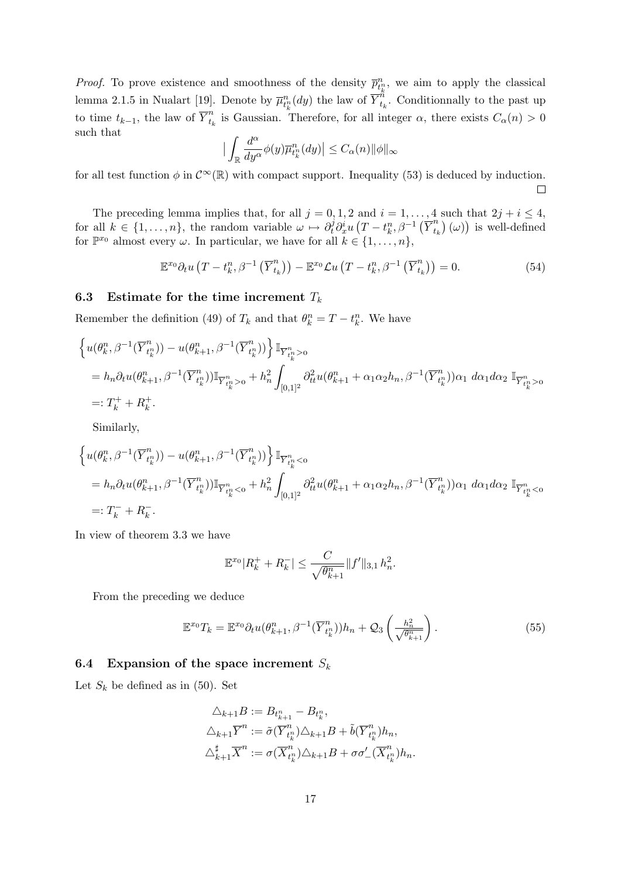*Proof.* To prove existence and smoothness of the density  $\bar{p}_{t_k}^n$ , we aim to apply the classical lemma 2.1.5 in Nualart [19]. Denote by  $\overline{\mu}_{t_k^n}^n(dy)$  the law of  $\overline{Y}_{t_i}^n$  $t_k$ . Conditionnally to the past up to time  $t_{k-1}$ , the law of  $\overline{Y}_{t_k}^n$  $t_{t_k}^n$  is Gaussian. Therefore, for all integer  $\alpha$ , there exists  $C_{\alpha}(n) > 0$ such that α

$$
\Big| \int_{\mathbb{R}} \frac{d^{\alpha}}{dy^{\alpha}} \phi(y) \overline{\mu}_{t_k^n}^n(dy) \Big| \leq C_{\alpha}(n) \| \phi \|_{\infty}
$$

for all test function  $\phi$  in  $\mathcal{C}^{\infty}(\mathbb{R})$  with compact support. Inequality (53) is deduced by induction.

The preceding lemma implies that, for all  $j = 0, 1, 2$  and  $i = 1, ..., 4$  such that  $2j + i \leq 4$ , for all  $k \in \{1, \ldots, n\}$ , the random variable  $\omega \mapsto \partial_t^j \partial_x^i u (T - t_k^n, \beta^{-1} (\overline{Y}_{t_k}^n))$  $\binom{n}{t_k}(\omega)$  is well-defined for  $\mathbb{P}^{x_0}$  almost every  $\omega$ . In particular, we have for all  $k \in \{1, ..., n\}$ ,

$$
\mathbb{E}^{x_0} \partial_t u \left( T - t_k^n, \beta^{-1} \left( \overline{Y}_{t_k}^n \right) \right) - \mathbb{E}^{x_0} \mathcal{L} u \left( T - t_k^n, \beta^{-1} \left( \overline{Y}_{t_k}^n \right) \right) = 0. \tag{54}
$$

#### 6.3 Estimate for the time increment  $T_k$

Remember the definition (49) of  $T_k$  and that  $\theta_k^n = T - t_k^n$ . We have

$$
\begin{split}\n\left\{ u(\theta_{k}^{n}, \beta^{-1}(\overline{Y}_{t_{k}^{n}}^{n})) - u(\theta_{k+1}^{n}, \beta^{-1}(\overline{Y}_{t_{k}^{n}}^{n})) \right\} \mathbb{I}_{\overline{Y}_{t_{k}^{n}}^{n} > 0} \\
&= h_{n} \partial_{t} u(\theta_{k+1}^{n}, \beta^{-1}(\overline{Y}_{t_{k}^{n}}^{n})) \mathbb{I}_{\overline{Y}_{t_{k}^{n}}^{n} > 0} + h_{n}^{2} \int_{[0,1]^{2}} \partial_{tt}^{2} u(\theta_{k+1}^{n} + \alpha_{1} \alpha_{2} h_{n}, \beta^{-1}(\overline{Y}_{t_{k}^{n}}^{n})) \alpha_{1} \ d\alpha_{1} d\alpha_{2} \ \mathbb{I}_{\overline{Y}_{t_{k}^{n}}^{n} > 0} \\
&=: T_{k}^{+} + R_{k}^{+}.\n\end{split}
$$

Similarly,

$$
\begin{split} &\left\{u(\theta_{k}^{n}, \beta^{-1}(\overline{Y}_{t_{k}^{n}}^{n})) - u(\theta_{k+1}^{n}, \beta^{-1}(\overline{Y}_{t_{k}^{n}}^{n}))\right\}\mathbb{I}_{\overline{Y}_{t_{k}^{n}}^{n}<0} \\ &= h_{n}\partial_{t}u(\theta_{k+1}^{n}, \beta^{-1}(\overline{Y}_{t_{k}^{n}}^{n}))\mathbb{I}_{\overline{Y}_{t_{k}^{n}}^{n}<0} + h_{n}^{2} \int_{[0,1]^{2}} \partial_{tt}^{2}u(\theta_{k+1}^{n} + \alpha_{1}\alpha_{2}h_{n}, \beta^{-1}(\overline{Y}_{t_{k}^{n}}^{n}))\alpha_{1} \ d\alpha_{1}d\alpha_{2} \ \mathbb{I}_{\overline{Y}_{t_{k}^{n}}^{n}<0} \\ &=: T_{k}^{-} + R_{k}^{-} . \end{split}
$$

In view of theorem 3.3 we have

$$
\mathbb{E}^{x_0} |R_k^+ + R_k^-| \le \frac{C}{\sqrt{\theta_{k+1}^n}} \|f'\|_{3,1} h_n^2.
$$

From the preceding we deduce

$$
\mathbb{E}^{x_0} T_k = \mathbb{E}^{x_0} \partial_t u(\theta_{k+1}^n, \beta^{-1} (\overline{Y}_{t_k^n}^n)) h_n + \mathcal{Q}_3 \left( \frac{h_n^2}{\sqrt{\theta_{k+1}^n}} \right).
$$
 (55)

## 6.4 Expansion of the space increment  $S_k$

Let  $S_k$  be defined as in (50). Set

$$
\Delta_{k+1}B := B_{t_{k+1}^n} - B_{t_k^n},
$$
  
\n
$$
\Delta_{k+1}\overline{Y}^n := \tilde{\sigma}(\overline{Y}_{t_k^n}^n) \Delta_{k+1}B + \tilde{b}(\overline{Y}_{t_k^n}^n)h_n,
$$
  
\n
$$
\Delta_{k+1}^{\sharp}\overline{X}^n := \sigma(\overline{X}_{t_k^n}^n) \Delta_{k+1}B + \sigma\sigma'_{-}(\overline{X}_{t_k^n}^n)h_n.
$$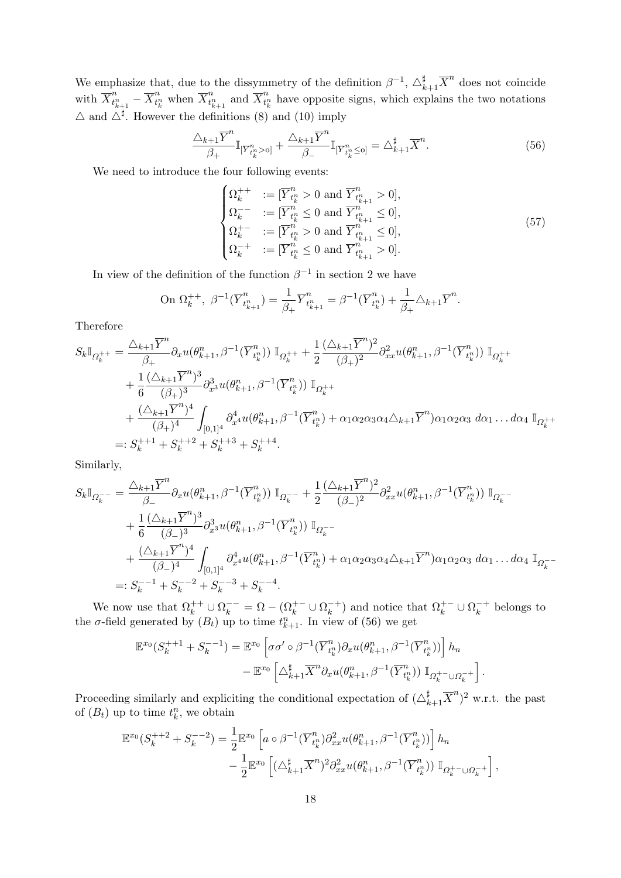We emphasize that, due to the dissymmetry of the definition  $\beta^{-1}$ ,  $\Delta_{k+1}^{\sharp} \overline{X}^{n}$  does not coincide with  $\overline{X}_{t}^{n}$  $\frac{n}{t_{k+1}^n} - \overline{X}_{t_{l}^n}^n$  $\frac{n}{t_k^n}$  when  $\overline{X}_{t_k^n}^n$  $t_{k+1}^n$  and  $\overline{X}_{t_i^n}^n$  $t_k^n$  have opposite signs, which explains the two notations  $\triangle$  and  $\triangle^{\sharp}$ . However the definitions (8) and (10) imply

$$
\frac{\triangle_{k+1}\overline{Y}^n}{\beta_+}\mathbb{I}_{\left[\overline{Y}^n_{t^n_k} > 0\right]} + \frac{\triangle_{k+1}\overline{Y}^n}{\beta_-}\mathbb{I}_{\left[\overline{Y}^n_{t^n_k} \le 0\right]} = \triangle_{k+1}^{\sharp}\overline{X}^n. \tag{56}
$$

We need to introduce the four following events:

$$
\begin{cases}\n\Omega_k^{++} &:= [\overline{Y}_{t_k^n}^n > 0 \text{ and } \overline{Y}_{t_{k+1}^n}^n > 0], \\
\Omega_k^{--} &:= [\overline{Y}_{t_k^n}^n \le 0 \text{ and } \overline{Y}_{t_{k+1}^n}^n \le 0], \\
\Omega_k^{+-} &:= [\overline{Y}_{t_k^n}^n > 0 \text{ and } \overline{Y}_{t_{k+1}^n}^n \le 0], \\
\Omega_k^{-+} &:= [\overline{Y}_{t_k^n}^n \le 0 \text{ and } \overline{Y}_{t_{k+1}^n}^n > 0].\n\end{cases} \tag{57}
$$

In view of the definition of the function  $\beta^{-1}$  in section 2 we have

On 
$$
\Omega_k^{++}
$$
,  $\beta^{-1}(\overline{Y}_{t_{k+1}}^n) = \frac{1}{\beta_+} \overline{Y}_{t_{k+1}}^n = \beta^{-1}(\overline{Y}_{t_k}^n) + \frac{1}{\beta_+} \Delta_{k+1} \overline{Y}^n$ .

Therefore

$$
S_{k}\mathbb{I}_{\Omega_{k}^{++}} = \frac{\Delta_{k+1}\overline{Y}^{n}}{\beta_{+}} \partial_{x}u(\theta_{k+1}^{n}, \beta^{-1}(\overline{Y}_{t_{k}^{n}}^{n})) \mathbb{I}_{\Omega_{k}^{++}} + \frac{1}{2} \frac{(\Delta_{k+1}\overline{Y}^{n})^{2}}{(\beta_{+})^{2}} \partial_{xx}^{2}u(\theta_{k+1}^{n}, \beta^{-1}(\overline{Y}_{t_{k}^{n}}^{n})) \mathbb{I}_{\Omega_{k}^{++}} + \frac{1}{6} \frac{(\Delta_{k+1}\overline{Y}^{n})^{3}}{(\beta_{+})^{3}} \partial_{x^{3}}^{3}u(\theta_{k+1}^{n}, \beta^{-1}(\overline{Y}_{t_{k}^{n}}^{n})) \mathbb{I}_{\Omega_{k}^{++}} + \frac{(\Delta_{k+1}\overline{Y}^{n})^{4}}{(\beta_{+})^{4}} \int_{[0,1]^{4}} \partial_{x^{4}}^{4}u(\theta_{k+1}^{n}, \beta^{-1}(\overline{Y}_{t_{k}^{n}}^{n}) + \alpha_{1} \alpha_{2} \alpha_{3} \alpha_{4} \Delta_{k+1} \overline{Y}^{n}) \alpha_{1} \alpha_{2} \alpha_{3} d\alpha_{1} \dots d\alpha_{4} \mathbb{I}_{\Omega_{k}^{++}} =: S_{k}^{++1} + S_{k}^{++2} + S_{k}^{++3} + S_{k}^{++4}.
$$

Similarly,

$$
S_{k}\mathbb{I}_{\Omega_{k}^{-}} = \frac{\triangle_{k+1}\overline{Y}^{n}}{\beta_{-}} \partial_{x}u(\theta_{k+1}^{n}, \beta^{-1}(\overline{Y}_{t_{k}^{n}}^{n})) \mathbb{I}_{\Omega_{k}^{-}} + \frac{1}{2} \frac{(\triangle_{k+1}\overline{Y}^{n})^{2}}{(\beta_{-})^{2}} \partial_{xx}^{2}u(\theta_{k+1}^{n}, \beta^{-1}(\overline{Y}_{t_{k}^{n}}^{n})) \mathbb{I}_{\Omega_{k}^{-}} + \frac{1}{6} \frac{(\triangle_{k+1}\overline{Y}^{n})^{3}}{(\beta_{-})^{3}} \partial_{x^{3}}^{3}u(\theta_{k+1}^{n}, \beta^{-1}(\overline{Y}_{t_{k}^{n}}^{n})) \mathbb{I}_{\Omega_{k}^{-}} - \frac{(\triangle_{k+1}\overline{Y}^{n})^{4}}{(\beta_{-})^{4}} \int_{[0,1]^{4}} \partial_{x^{4}}^{4}u(\theta_{k+1}^{n}, \beta^{-1}(\overline{Y}_{t_{k}^{n}}^{n}) + \alpha_{1}\alpha_{2}\alpha_{3}\alpha_{4}\triangle_{k+1}\overline{Y}^{n})\alpha_{1}\alpha_{2}\alpha_{3} d\alpha_{1} \dots d\alpha_{4} \mathbb{I}_{\Omega_{k}^{-}} - \frac{1}{6} \mathbb{I}_{\Omega_{k}^{-}} + \frac{(\triangle_{k+1}\overline{Y}^{n})^{4}}{(\beta_{-})^{4}} + \frac{1}{6} \mathbb{I}_{\Omega_{k}^{-}} + \frac{1}{6} \mathbb{I}_{\Omega_{k}^{-}} + \frac{1}{6} \mathbb{I}_{\Omega_{k}^{-}} + \frac{1}{6} \mathbb{I}_{\Omega_{k}^{-}} + \frac{1}{6} \mathbb{I}_{\Omega_{k}^{-}} + \frac{1}{6} \mathbb{I}_{\Omega_{k}^{-}} + \frac{1}{6} \mathbb{I}_{\Omega_{k}^{-}} + \frac{1}{6} \mathbb{I}_{\Omega_{k}^{-}} + \frac{1}{6} \mathbb{I}_{\Omega_{k}^{-}} + \frac{1}{6} \mathbb{I}_{\Omega_{k}^{-}} + \frac{1}{6} \mathbb{I}_{\Omega_{k}^{-}} + \frac{1}{6} \mathbb{I}_{\Omega_{k}^{-}} + \frac{1}{6} \mathbb{I}_{\Omega_{k}^{-}} + \frac{1
$$

We now use that  $\Omega_k^{++} \cup \Omega_k^{--} = \Omega - (\Omega_k^{+-} \cup \Omega_k^{-+})$  and notice that  $\Omega_k^{+-} \cup \Omega_k^{-+}$  belongs to the  $\sigma$ -field generated by  $(B_t)$  up to time  $t_{k+1}^n$ . In view of (56) we get

$$
\mathbb{E}^{x_0}(S_k^{++1}+S_k^{--1}) = \mathbb{E}^{x_0}\left[\sigma\sigma'\circ\beta^{-1}(\overline{Y}_{t_k^n}^n)\partial_x u(\theta_{k+1}^n,\beta^{-1}(\overline{Y}_{t_k^n}^n))\right]h_n
$$
  

$$
-\mathbb{E}^{x_0}\left[\triangle_{k+1}^{\sharp}\overline{X}^n\partial_x u(\theta_{k+1}^n,\beta^{-1}(\overline{Y}_{t_k^n}^n))\mathbb{I}_{\Omega_k^{+-}\cup\Omega_k^{-+}}\right].
$$

Proceeding similarly and expliciting the conditional expectation of  $(\triangle_{k+1}^{\sharp} \overline{X}^{n})^{2}$  w.r.t. the past of  $(B_t)$  up to time  $t_k^n$ , we obtain

$$
\mathbb{E}^{x_0}(S_k^{++2} + S_k^{--2}) = \frac{1}{2} \mathbb{E}^{x_0} \left[ a \circ \beta^{-1} (\overline{Y}_{t_k^n}^n) \partial_{xx}^2 u(\theta_{k+1}^n, \beta^{-1} (\overline{Y}_{t_k^n}^n)) \right] h_n - \frac{1}{2} \mathbb{E}^{x_0} \left[ (\triangle_{k+1}^{\sharp} \overline{X}^n)^2 \partial_{xx}^2 u(\theta_{k+1}^n, \beta^{-1} (\overline{Y}_{t_k^n}^n)) \mathbb{I}_{\Omega_k^{+-} \cup \Omega_k^{-+}} \right],
$$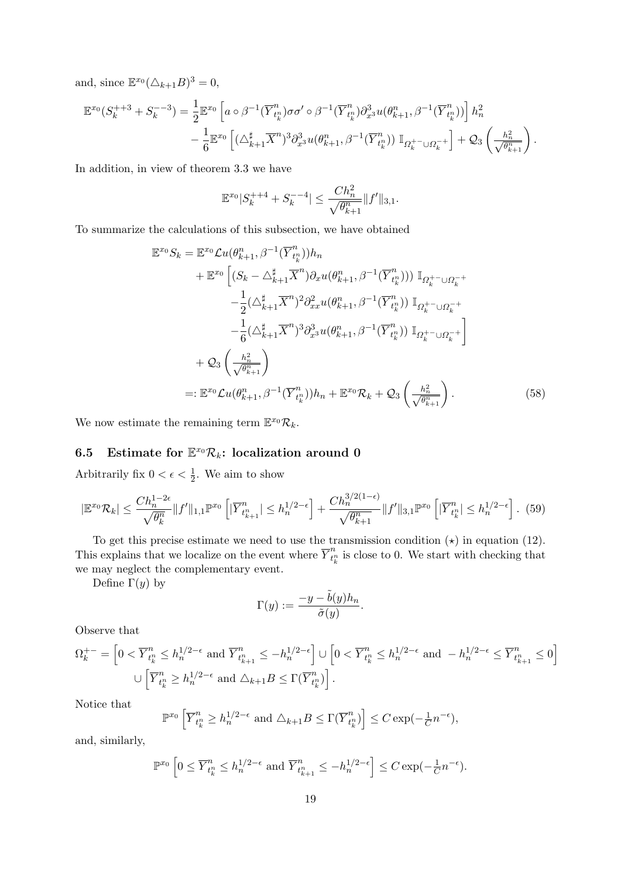and, since  $\mathbb{E}^{x_0}(\triangle_{k+1}B)^3 = 0$ ,

$$
\mathbb{E}^{x_0}(S_k^{++3} + S_k^{--3}) = \frac{1}{2} \mathbb{E}^{x_0} \left[ a \circ \beta^{-1} (\overline{Y}_{t_k^n}^n) \sigma \sigma' \circ \beta^{-1} (\overline{Y}_{t_k^n}^n) \partial_{x^3}^3 u(\theta_{k+1}^n, \beta^{-1} (\overline{Y}_{t_k^n}^n)) \right] h_n^2 - \frac{1}{6} \mathbb{E}^{x_0} \left[ (\triangle_{k+1}^{\sharp} \overline{X}^n)^3 \partial_{x^3}^3 u(\theta_{k+1}^n, \beta^{-1} (\overline{Y}_{t_k^n}^n)) \mathbb{I}_{\Omega_k^{+-} \cup \Omega_k^{-+}} \right] + \mathcal{Q}_3 \left( \frac{h_n^2}{\sqrt{\theta_{k+1}^n}} \right).
$$

In addition, in view of theorem 3.3 we have

$$
\mathbb{E}^{x_0} |S_k^{++4} + S_k^{--4}| \le \frac{C h_n^2}{\sqrt{\theta_{k+1}^n}} \|f'\|_{3,1}.
$$

To summarize the calculations of this subsection, we have obtained

$$
\mathbb{E}^{x_0} S_k = \mathbb{E}^{x_0} \mathcal{L} u(\theta_{k+1}^n, \beta^{-1} (\overline{Y}_{t_k^n}^n)) h_n \n+ \mathbb{E}^{x_0} \left[ (S_k - \Delta_{k+1}^{\sharp} \overline{X}^n) \partial_x u(\theta_{k+1}^n, \beta^{-1} (\overline{Y}_{t_k^n}^n)) \mathbb{I}_{\Omega_k^{+-} \cup \Omega_k^{-+}} \right. \n- \frac{1}{2} (\Delta_{k+1}^{\sharp} \overline{X}^n)^2 \partial_{xx}^2 u(\theta_{k+1}^n, \beta^{-1} (\overline{Y}_{t_k^n}^n)) \mathbb{I}_{\Omega_k^{+-} \cup \Omega_k^{-+}} \n- \frac{1}{6} (\Delta_{k+1}^{\sharp} \overline{X}^n)^3 \partial_{x^3}^3 u(\theta_{k+1}^n, \beta^{-1} (\overline{Y}_{t_k^n}^n)) \mathbb{I}_{\Omega_k^{+-} \cup \Omega_k^{-+}} \right] \n+ \mathcal{Q}_3 \left( \frac{h_n^2}{\sqrt{\theta_{k+1}^n}} \right) \n=: \mathbb{E}^{x_0} \mathcal{L} u(\theta_{k+1}^n, \beta^{-1} (\overline{Y}_{t_k^n}^n)) h_n + \mathbb{E}^{x_0} \mathcal{R}_k + \mathcal{Q}_3 \left( \frac{h_n^2}{\sqrt{\theta_{k+1}^n}} \right).
$$
\n(58)

We now estimate the remaining term  $\mathbb{E}^{x_0} \mathcal{R}_k$ .

# 6.5 Estimate for  $\mathbb{E}^{x_0} \mathcal{R}_k$ : localization around 0

Arbitrarily fix  $0 < \epsilon < \frac{1}{2}$ . We aim to show

$$
|\mathbb{E}^{x_0}\mathcal{R}_k| \le \frac{Ch_n^{1-2\epsilon}}{\sqrt{\theta_k^n}} \|f'\|_{1,1} \mathbb{P}^{x_0} \left[|\overline{Y}_{t_{k+1}^n}^n| \le h_n^{1/2-\epsilon}\right] + \frac{Ch_n^{3/2(1-\epsilon)}}{\sqrt{\theta_{k+1}^n}} \|f'\|_{3,1} \mathbb{P}^{x_0} \left[|\overline{Y}_{t_k^n}^n| \le h_n^{1/2-\epsilon}\right].
$$
 (59)

To get this precise estimate we need to use the transmission condition  $(\star)$  in equation (12). This explains that we localize on the event where  $\overline{Y}_{t}^{n}$  $t_k^n$  is close to 0. We start with checking that we may neglect the complementary event.

Define  $\Gamma(y)$  by

$$
\Gamma(y) := \frac{-y - \tilde{b}(y)h_n}{\tilde{\sigma}(y)}.
$$

Observe that

$$
\Omega_k^{+-} = \left[ 0 < \overline{Y}_{t_k^n}^n \le h_n^{1/2 - \epsilon} \text{ and } \overline{Y}_{t_{k+1}^n}^n \le -h_n^{1/2 - \epsilon} \right] \cup \left[ 0 < \overline{Y}_{t_k^n}^n \le h_n^{1/2 - \epsilon} \text{ and } -h_n^{1/2 - \epsilon} \le \overline{Y}_{t_{k+1}^n}^n \le 0 \right]
$$
\n
$$
\cup \left[ \overline{Y}_{t_k^n}^n \ge h_n^{1/2 - \epsilon} \text{ and } \triangle_{k+1} B \le \Gamma(\overline{Y}_{t_k^n}^n) \right].
$$

Notice that

$$
\mathbb{P}^{x_0}\left[\overline{Y}_{t^n_k}^n \ge h_n^{1/2 - \epsilon} \text{ and } \triangle_{k+1}B \le \Gamma(\overline{Y}_{t^n_k}^n)\right] \le C \exp(-\frac{1}{C}n^{-\epsilon}),
$$

and, similarly,

$$
\mathbb{P}^{x_0} \left[ 0 \le \overline{Y}_{t_k^n}^n \le h_n^{1/2 - \epsilon} \text{ and } \overline{Y}_{t_{k+1}^n}^n \le -h_n^{1/2 - \epsilon} \right] \le C \exp(-\frac{1}{C}n^{-\epsilon}).
$$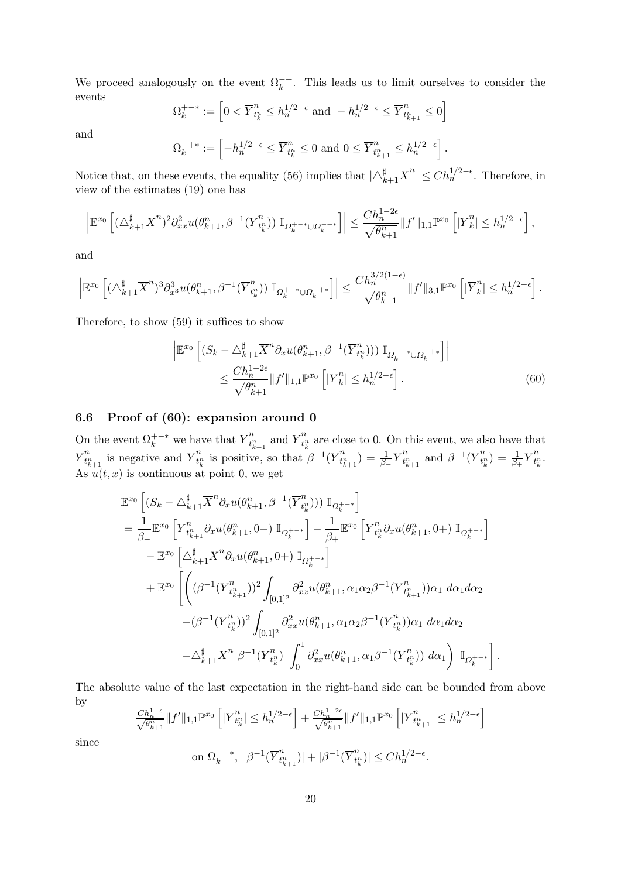We proceed analogously on the event  $\Omega_k^{-+}$ . This leads us to limit ourselves to consider the events

$$
\Omega_k^{+-*} := \left[ 0 < \overline{Y}_{t_k^n}^n \le h_n^{1/2 - \epsilon} \text{ and } -h_n^{1/2 - \epsilon} \le \overline{Y}_{t_{k+1}^n}^n \le 0 \right]
$$

and

$$
\Omega_k^{-+*} := \left[ -h_n^{1/2 - \epsilon} \le \overline{Y}_{t_k^n}^n \le 0 \text{ and } 0 \le \overline{Y}_{t_{k+1}^n}^n \le h_n^{1/2 - \epsilon} \right].
$$

Notice that, on these events, the equality (56) implies that  $|\triangle_{k+1}^{\sharp} \overline{X}^{n}| \leq Ch_n^{1/2-\epsilon}$ . Therefore, in view of the estimates (19) one has

$$
\left| \mathbb{E}^{x_0} \left[ (\Delta_{k+1}^{\sharp} \overline{X}^n)^2 \partial_{xx}^2 u(\theta_{k+1}^n, \beta^{-1} (\overline{Y}_{t_k^n}^n)) \mathbb{I}_{\Omega_k^{++*} \cup \Omega_k^{-+*}} \right] \right| \leq \frac{Ch_n^{1-2\epsilon}}{\sqrt{\theta_{k+1}^n}} \|f'\|_{1,1} \mathbb{P}^{x_0} \left[ |\overline{Y}_k^n| \leq h_n^{1/2-\epsilon} \right],
$$

and

$$
\left| \mathbb{E}^{x_0} \left[ (\triangle_{k+1}^{\sharp} \overline{X}^n)^3 \partial_{x^3}^3 u(\theta_{k+1}^n, \beta^{-1} (\overline{Y}_{t_k^n}^n)) \mathbb{I}_{\Omega_k^{++*} \cup \Omega_k^{-+*}} \right] \right| \leq \frac{C h_n^{3/2(1-\epsilon)}}{\sqrt{\theta_{k+1}^n}} \|f'\|_{3,1} \mathbb{P}^{x_0} \left[ |\overline{Y}_k^n| \leq h_n^{1/2-\epsilon} \right].
$$

Therefore, to show (59) it suffices to show

$$
\begin{split} \left| \mathbb{E}^{x_0} \left[ \left( S_k - \Delta_{k+1}^{\sharp} \overline{X}^n \partial_x u(\theta_{k+1}^n, \beta^{-1} (\overline{Y}_{t_k^n}^n) ) \right) \mathbb{I}_{\Omega_k^{+-*} \cup \Omega_k^{-+*}} \right] \right| \\ &\leq \frac{C h_n^{1-2\epsilon}}{\sqrt{\theta_{k+1}^n}} \| f' \|_{1,1} \mathbb{P}^{x_0} \left[ |\overline{Y}_k^n| \leq h_n^{1/2-\epsilon} \right]. \end{split} \tag{60}
$$

.

#### 6.6 Proof of (60): expansion around 0

On the event  $\Omega_k^{++*}$  we have that  $\overline{Y}_{t_i}^n$  $t_{k+1}^n$  and  $\overline{Y}_{t_i^n}^n$  $t_k^n$  are close to 0. On this event, we also have that  $\overline{Y}_{t}^n$  $t_{k+1}^n$  is negative and  $\overline{Y}_{t}^n$  $t_k^n$  is positive, so that  $\beta^{-1}(\overline{Y}_{t_k^n}^n)$  $\binom{n}{t_{k+1}} = \frac{1}{\beta_-} \overline{Y}_{t_{k+1}^n}^n$  $\sum_{t_{k+1}^n}^n$  and  $\beta^{-1}(\overline{Y}_{t_j^n}^n)$  $\binom{n}{t_k^n} = \frac{1}{\beta_+} \overline{Y}_{t_k^n}^n$  $t_k^n$  . As  $u(t, x)$  is continuous at point 0, we get

$$
\mathbb{E}^{x_{0}} \left[ (S_{k} - \Delta_{k+1}^{\sharp} \overline{X}^{n} \partial_{x} u(\theta_{k+1}^{n}, \beta^{-1}(\overline{Y}_{t_{k}^{n}}^{n})) ) \mathbb{I}_{\Omega_{k}^{+-*}} \right]
$$
\n
$$
= \frac{1}{\beta_{-}} \mathbb{E}^{x_{0}} \left[ \overline{Y}_{t_{k+1}^{n}}^{n} \partial_{x} u(\theta_{k+1}^{n}, 0-) \mathbb{I}_{\Omega_{k}^{+-*}} \right] - \frac{1}{\beta_{+}} \mathbb{E}^{x_{0}} \left[ \overline{Y}_{t_{k}^{n}}^{n} \partial_{x} u(\theta_{k+1}^{n}, 0+) \mathbb{I}_{\Omega_{k}^{+-*}} \right]
$$
\n
$$
- \mathbb{E}^{x_{0}} \left[ \Delta_{k+1}^{\sharp} \overline{X}^{n} \partial_{x} u(\theta_{k+1}^{n}, 0+) \mathbb{I}_{\Omega_{k}^{+-*}} \right]
$$
\n
$$
+ \mathbb{E}^{x_{0}} \left[ \left( (\beta^{-1} (\overline{Y}_{t_{k+1}^{n}}^{n}))^{2} \int_{[0,1]^{2}} \partial_{xx}^{2} u(\theta_{k+1}^{n}, \alpha_{1} \alpha_{2} \beta^{-1} (\overline{Y}_{t_{k+1}^{n}}^{n})) \alpha_{1} \, d\alpha_{1} d\alpha_{2} \right. \right.
$$
\n
$$
- (\beta^{-1} (\overline{Y}_{t_{k}^{n}}^{n}))^{2} \int_{[0,1]^{2}} \partial_{xx}^{2} u(\theta_{k+1}^{n}, \alpha_{1} \alpha_{2} \beta^{-1} (\overline{Y}_{t_{k}^{n}}^{n})) \alpha_{1} \, d\alpha_{1} d\alpha_{2}
$$
\n
$$
- \Delta_{k+1}^{\sharp} \overline{X}^{n} \beta^{-1} (\overline{Y}_{t_{k}^{n}}^{n}) \int_{0}^{1} \partial_{xx}^{2} u(\theta_{k+1}^{n}, \alpha_{1} \beta^{-1} (\overline{Y}_{t_{k}^{n}}^{n})) \, d\alpha_{1} \right) \mathbb{I}_{\Omega_{k}^{+-*}} \right]
$$

The absolute value of the last expectation in the right-hand side can be bounded from above by

$$
\frac{Ch_n^{1-\epsilon}}{\sqrt{\theta_{k+1}^n}} \|f'\|_{1,1} \mathbb{P}^{x_0} \left[|\overline{Y}_{t_k^n}^n| \leq h_n^{1/2-\epsilon} \right] + \frac{Ch_n^{1-2\epsilon}}{\sqrt{\theta_{k+1}^n}} \|f'\|_{1,1} \mathbb{P}^{x_0} \left[|\overline{Y}_{t_{k+1}^n}^n| \leq h_n^{1/2-\epsilon} \right]
$$

since

on 
$$
\Omega_k^{+-*}
$$
,  $|\beta^{-1}(\overline{Y}_{t_{k+1}^n}^n)| + |\beta^{-1}(\overline{Y}_{t_k^n}^n)| \leq Ch_n^{1/2-\epsilon}$ .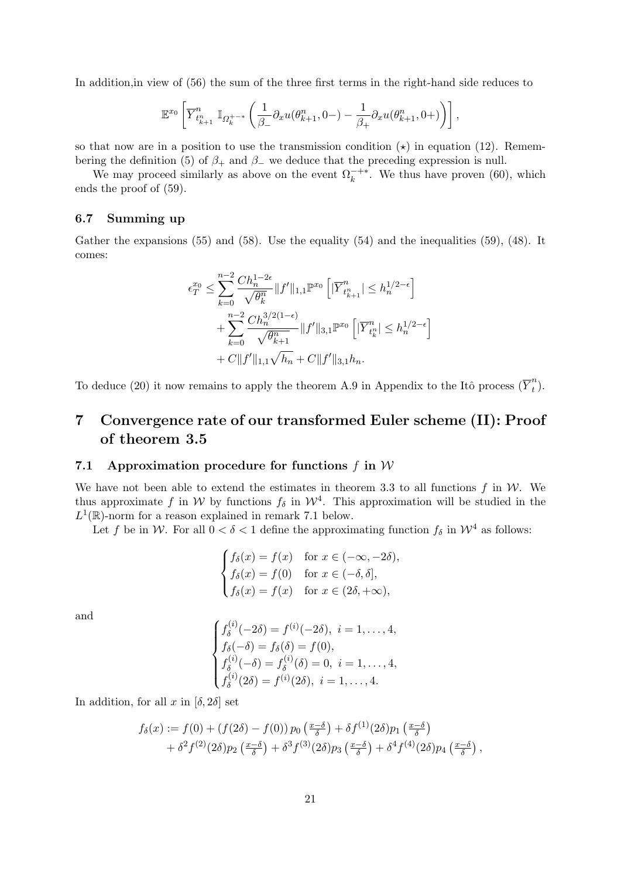In addition,in view of (56) the sum of the three first terms in the right-hand side reduces to

$$
\mathbb{E}^{x_0}\left[\overline{Y}^n_{t_{k+1}^n} \mathbb{I}_{\Omega_k^{+-*}}\left(\frac{1}{\beta_-}\partial_x u(\theta_{k+1}^n, 0-) - \frac{1}{\beta_+}\partial_x u(\theta_{k+1}^n, 0+)\right)\right],
$$

so that now are in a position to use the transmission condition  $(\star)$  in equation (12). Remembering the definition (5) of  $\beta_+$  and  $\beta_-$  we deduce that the preceding expression is null.

We may proceed similarly as above on the event  $\Omega_k^{-+*}$ . We thus have proven (60), which ends the proof of (59).

#### 6.7 Summing up

Gather the expansions (55) and (58). Use the equality (54) and the inequalities (59), (48). It comes:

$$
\epsilon_T^{x_0} \le \sum_{k=0}^{n-2} \frac{Ch_n^{1-2\epsilon}}{\sqrt{\theta_k^n}} \|f'\|_{1,1} \mathbb{P}^{x_0} \left[|\overline{Y}_{t_{k+1}^n}^n| \le h_n^{1/2-\epsilon}\right] + \sum_{k=0}^{n-2} \frac{Ch_n^{3/2(1-\epsilon)}}{\sqrt{\theta_{k+1}^n}} \|f'\|_{3,1} \mathbb{P}^{x_0} \left[|\overline{Y}_{t_k^n}^n| \le h_n^{1/2-\epsilon}\right] + C \|f'\|_{1,1} \sqrt{h_n} + C \|f'\|_{3,1} h_n.
$$

To deduce (20) it now remains to apply the theorem A.9 in Appendix to the Itô process  $(\overline{Y}_t^n)$  $\binom{n}{t}$ .

## 7 Convergence rate of our transformed Euler scheme (II): Proof of theorem 3.5

#### 7.1 Approximation procedure for functions  $f$  in  $W$

We have not been able to extend the estimates in theorem 3.3 to all functions  $f$  in  $W$ . We thus approximate f in W by functions  $f_{\delta}$  in  $\mathcal{W}^4$ . This approximation will be studied in the  $L^1(\mathbb{R})$ -norm for a reason explained in remark 7.1 below.

Let f be in W. For all  $0 < \delta < 1$  define the approximating function  $f_{\delta}$  in  $\mathcal{W}^4$  as follows:

$$
\begin{cases}\nf_\delta(x) = f(x) & \text{for } x \in (-\infty, -2\delta), \\
f_\delta(x) = f(0) & \text{for } x \in (-\delta, \delta], \\
f_\delta(x) = f(x) & \text{for } x \in (2\delta, +\infty),\n\end{cases}
$$

and

$$
\begin{cases}\nf_{\delta}^{(i)}(-2\delta) = f^{(i)}(-2\delta), \ i = 1, \dots, 4, \\
f_{\delta}(-\delta) = f_{\delta}(\delta) = f(0), \\
f_{\delta}^{(i)}(-\delta) = f_{\delta}^{(i)}(\delta) = 0, \ i = 1, \dots, 4, \\
f_{\delta}^{(i)}(2\delta) = f^{(i)}(2\delta), \ i = 1, \dots, 4.\n\end{cases}
$$

In addition, for all x in  $[\delta, 2\delta]$  set

$$
f_{\delta}(x) := f(0) + (f(2\delta) - f(0)) p_0\left(\frac{x-\delta}{\delta}\right) + \delta f^{(1)}(2\delta) p_1\left(\frac{x-\delta}{\delta}\right) + \delta^2 f^{(2)}(2\delta) p_2\left(\frac{x-\delta}{\delta}\right) + \delta^3 f^{(3)}(2\delta) p_3\left(\frac{x-\delta}{\delta}\right) + \delta^4 f^{(4)}(2\delta) p_4\left(\frac{x-\delta}{\delta}\right),
$$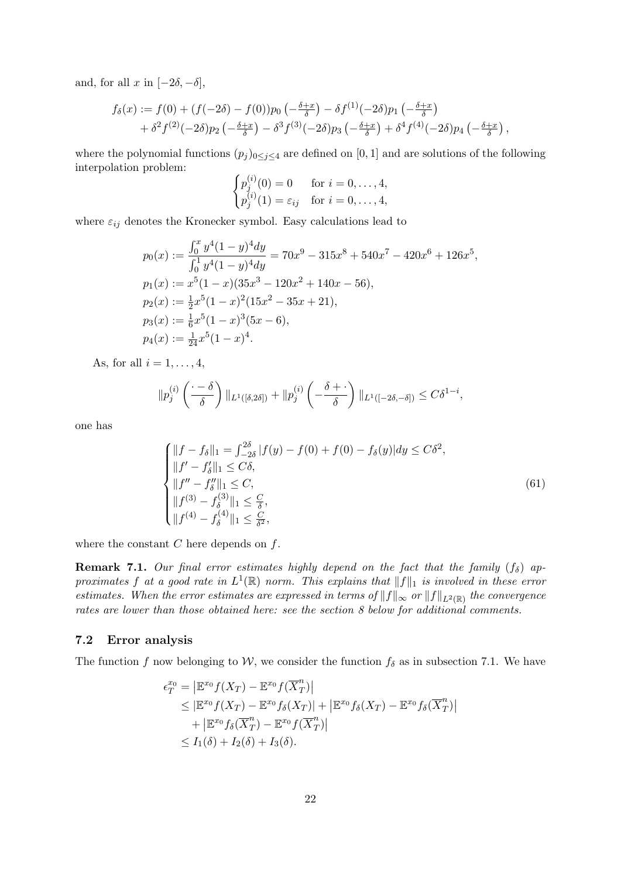and, for all x in  $[-2\delta, -\delta]$ ,

$$
f_{\delta}(x) := f(0) + (f(-2\delta) - f(0))p_0 \left(-\frac{\delta + x}{\delta}\right) - \delta f^{(1)}(-2\delta)p_1 \left(-\frac{\delta + x}{\delta}\right) + \delta^2 f^{(2)}(-2\delta)p_2 \left(-\frac{\delta + x}{\delta}\right) - \delta^3 f^{(3)}(-2\delta)p_3 \left(-\frac{\delta + x}{\delta}\right) + \delta^4 f^{(4)}(-2\delta)p_4 \left(-\frac{\delta + x}{\delta}\right),
$$

where the polynomial functions  $(p_j)_{0 \leq j \leq 4}$  are defined on [0, 1] and are solutions of the following interpolation problem:  $\mathcal{L}(\mathcal{L})$ 

$$
\begin{cases}\np_j^{(i)}(0) = 0 & \text{for } i = 0, \dots, 4, \\
p_j^{(i)}(1) = \varepsilon_{ij} & \text{for } i = 0, \dots, 4,\n\end{cases}
$$

where  $\varepsilon_{ij}$  denotes the Kronecker symbol. Easy calculations lead to

$$
p_0(x) := \frac{\int_0^x y^4 (1 - y)^4 dy}{\int_0^1 y^4 (1 - y)^4 dy} = 70x^9 - 315x^8 + 540x^7 - 420x^6 + 126x^5,
$$
  
\n
$$
p_1(x) := x^5(1 - x)(35x^3 - 120x^2 + 140x - 56),
$$
  
\n
$$
p_2(x) := \frac{1}{2}x^5(1 - x)^2(15x^2 - 35x + 21),
$$
  
\n
$$
p_3(x) := \frac{1}{6}x^5(1 - x)^3(5x - 6),
$$
  
\n
$$
p_4(x) := \frac{1}{24}x^5(1 - x)^4.
$$

As, for all  $i = 1, \ldots, 4$ ,

$$
||p_j^{(i)}\left(\frac{\cdot-\delta}{\delta}\right)||_{L^1([\delta,2\delta])}+||p_j^{(i)}\left(-\frac{\delta+\cdot}{\delta}\right)||_{L^1([-2\delta,-\delta])}\leq C\delta^{1-i},
$$

one has

$$
\begin{cases}\n||f - f_{\delta}||_1 = \int_{-2\delta}^{2\delta} |f(y) - f(0) + f(0) - f_{\delta}(y)| dy \le C\delta^2, \\
||f' - f'_{\delta}||_1 \le C\delta, \\
||f'' - f''_{\delta}||_1 \le C, \\
||f^{(3)} - f_{\delta}^{(3)}||_1 \le \frac{C}{\delta}, \\
||f^{(4)} - f_{\delta}^{(4)}||_1 \le \frac{C}{\delta^2},\n\end{cases} (61)
$$

where the constant  $C$  here depends on  $f$ .

**Remark 7.1.** Our final error estimates highly depend on the fact that the family  $(f_{\delta})$  approximates f at a good rate in  $L^1(\mathbb{R})$  norm. This explains that  $||f||_1$  is involved in these error estimates. When the error estimates are expressed in terms of  $||f||_{\infty}$  or  $||f||_{L^2(\mathbb{R})}$  the convergence rates are lower than those obtained here: see the section 8 below for additional comments.

#### 7.2 Error analysis

The function f now belonging to W, we consider the function  $f_{\delta}$  as in subsection 7.1. We have

$$
\epsilon_T^{x_0} = \left| \mathbb{E}^{x_0} f(X_T) - \mathbb{E}^{x_0} f(\overline{X}_T^n) \right|
$$
  
\n
$$
\leq \left| \mathbb{E}^{x_0} f(X_T) - \mathbb{E}^{x_0} f_\delta(X_T) \right| + \left| \mathbb{E}^{x_0} f_\delta(X_T) - \mathbb{E}^{x_0} f_\delta(\overline{X}_T^n) \right|
$$
  
\n
$$
+ \left| \mathbb{E}^{x_0} f_\delta(\overline{X}_T^n) - \mathbb{E}^{x_0} f(\overline{X}_T^n) \right|
$$
  
\n
$$
\leq I_1(\delta) + I_2(\delta) + I_3(\delta).
$$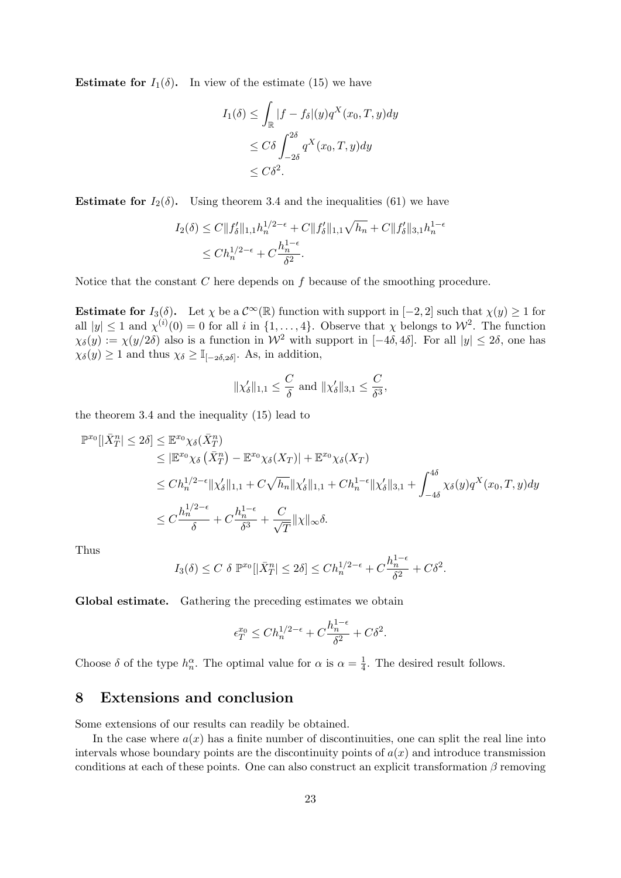**Estimate for**  $I_1(\delta)$ . In view of the estimate (15) we have

$$
I_1(\delta) \le \int_{\mathbb{R}} |f - f_{\delta}|(y) q^X(x_0, T, y) dy
$$
  
\n
$$
\le C\delta \int_{-2\delta}^{2\delta} q^X(x_0, T, y) dy
$$
  
\n
$$
\le C\delta^2.
$$

**Estimate for**  $I_2(\delta)$ . Using theorem 3.4 and the inequalities (61) we have

$$
I_2(\delta) \le C \|f_\delta'\|_{1,1} h_n^{1/2-\epsilon} + C \|f_\delta'\|_{1,1} \sqrt{h_n} + C \|f_\delta'\|_{3,1} h_n^{1-\epsilon}
$$
  

$$
\le C h_n^{1/2-\epsilon} + C \frac{h_n^{1-\epsilon}}{\delta^2}.
$$

Notice that the constant  $C$  here depends on  $f$  because of the smoothing procedure.

Estimate for  $I_3(\delta)$ . Let  $\chi$  be a  $\mathcal{C}^{\infty}(\mathbb{R})$  function with support in  $[-2,2]$  such that  $\chi(y) \geq 1$  for all  $|y| \leq 1$  and  $\chi^{(i)}(0) = 0$  for all i in  $\{1, \ldots, 4\}$ . Observe that  $\chi$  belongs to  $\mathcal{W}^2$ . The function  $\chi_{\delta}(y) := \chi(y/2\delta)$  also is a function in  $\mathcal{W}^2$  with support in  $[-4\delta, 4\delta]$ . For all  $|y| \le 2\delta$ , one has  $\chi_{\delta}(y) \ge 1$  and thus  $\chi_{\delta} \ge \mathbb{I}_{[-2\delta,2\delta]}$ . As, in addition,

$$
\|\chi_\delta'\|_{1,1}\leq \frac{C}{\delta} \text{ and } \|\chi_\delta'\|_{3,1}\leq \frac{C}{\delta^3},
$$

the theorem 3.4 and the inequality (15) lead to

$$
\mathbb{P}^{x_0}[|\bar{X}_T^n| \le 2\delta] \le \mathbb{E}^{x_0} \chi_{\delta}(\bar{X}_T^n)
$$
  
\n
$$
\le |\mathbb{E}^{x_0} \chi_{\delta}(\bar{X}_T^n) - \mathbb{E}^{x_0} \chi_{\delta}(X_T)| + \mathbb{E}^{x_0} \chi_{\delta}(X_T)
$$
  
\n
$$
\le Ch_n^{1/2-\epsilon} \|\chi_{\delta}'\|_{1,1} + C\sqrt{h_n}\|\chi_{\delta}'\|_{1,1} + Ch_n^{1-\epsilon}\|\chi_{\delta}'\|_{3,1} + \int_{-4\delta}^{4\delta} \chi_{\delta}(y)q^X(x_0,T,y)dy
$$
  
\n
$$
\le C\frac{h_n^{1/2-\epsilon}}{\delta} + C\frac{h_n^{1-\epsilon}}{\delta^3} + \frac{C}{\sqrt{T}}\|\chi\|_{\infty}\delta.
$$

Thus

$$
I_3(\delta) \le C \delta \, \mathbb{P}^{x_0}[|\bar{X}_T^n| \le 2\delta] \le Ch_n^{1/2-\epsilon} + C\frac{h_n^{1-\epsilon}}{\delta^2} + C\delta^2.
$$

Global estimate. Gathering the preceding estimates we obtain

$$
\epsilon_T^{x_0} \le Ch_n^{1/2-\epsilon} + C\frac{h_n^{1-\epsilon}}{\delta^2} + C\delta^2.
$$

Choose  $\delta$  of the type  $h_n^{\alpha}$ . The optimal value for  $\alpha$  is  $\alpha = \frac{1}{4}$  $\frac{1}{4}$ . The desired result follows.

## 8 Extensions and conclusion

Some extensions of our results can readily be obtained.

In the case where  $a(x)$  has a finite number of discontinuities, one can split the real line into intervals whose boundary points are the discontinuity points of  $a(x)$  and introduce transmission conditions at each of these points. One can also construct an explicit transformation  $\beta$  removing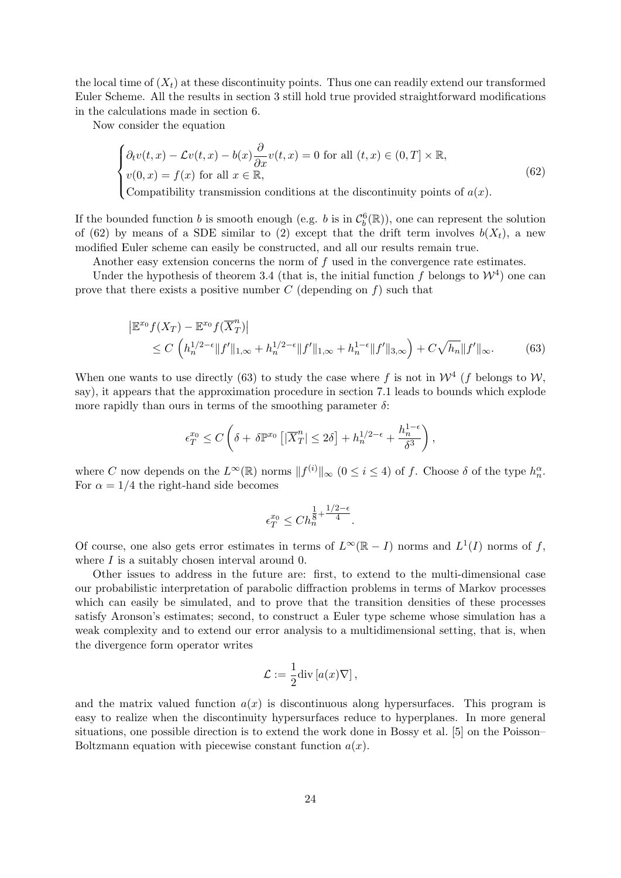the local time of  $(X_t)$  at these discontinuity points. Thus one can readily extend our transformed Euler Scheme. All the results in section 3 still hold true provided straightforward modifications in the calculations made in section 6.

Now consider the equation

$$
\begin{cases}\n\partial_t v(t,x) - \mathcal{L}v(t,x) - b(x)\frac{\partial}{\partial x}v(t,x) = 0 \text{ for all } (t,x) \in (0,T] \times \mathbb{R}, \\
v(0,x) = f(x) \text{ for all } x \in \mathbb{R}, \\
\text{Compatibility transmission conditions at the discontinuity points of } a(x).\n\end{cases}
$$
\n(62)

If the bounded function b is smooth enough (e.g. b is in  $\mathcal{C}_b^6(\mathbb{R})$ ), one can represent the solution

of (62) by means of a SDE similar to (2) except that the drift term involves  $b(X_t)$ , a new modified Euler scheme can easily be constructed, and all our results remain true.

Another easy extension concerns the norm of f used in the convergence rate estimates.

Under the hypothesis of theorem 3.4 (that is, the initial function f belongs to  $\mathcal{W}^4$ ) one can prove that there exists a positive number  $C$  (depending on  $f$ ) such that

$$
\left| \mathbb{E}^{x_0} f(X_T) - \mathbb{E}^{x_0} f(\overline{X}_T^n) \right|
$$
  
 
$$
\leq C \left( h_n^{1/2 - \epsilon} \| f' \|_{1, \infty} + h_n^{1/2 - \epsilon} \| f' \|_{1, \infty} + h_n^{1 - \epsilon} \| f' \|_{3, \infty} \right) + C \sqrt{h_n} \| f' \|_{\infty}.
$$
 (63)

When one wants to use directly (63) to study the case where f is not in  $\mathcal{W}^4$  (f belongs to  $\mathcal{W}$ , say), it appears that the approximation procedure in section 7.1 leads to bounds which explode more rapidly than ours in terms of the smoothing parameter  $\delta$ :

$$
\epsilon_T^{x_0} \le C\left(\delta + \delta \mathbb{P}^{x_0} \left[|\overline{X}_T^n| \le 2\delta\right] + h_n^{1/2-\epsilon} + \frac{h_n^{1-\epsilon}}{\delta^3}\right),\,
$$

where C now depends on the  $L^{\infty}(\mathbb{R})$  norms  $||f^{(i)}||_{\infty}$   $(0 \leq i \leq 4)$  of f. Choose  $\delta$  of the type  $h_n^{\alpha}$ . For  $\alpha = 1/4$  the right-hand side becomes

$$
\epsilon_T^{x_0} \le C h_n^{\frac{1}{8} + \frac{1/2 - \epsilon}{4}}.
$$

Of course, one also gets error estimates in terms of  $L^{\infty}(\mathbb{R} - I)$  norms and  $L^{1}(I)$  norms of f, where  $I$  is a suitably chosen interval around 0.

Other issues to address in the future are: first, to extend to the multi-dimensional case our probabilistic interpretation of parabolic diffraction problems in terms of Markov processes which can easily be simulated, and to prove that the transition densities of these processes satisfy Aronson's estimates; second, to construct a Euler type scheme whose simulation has a weak complexity and to extend our error analysis to a multidimensional setting, that is, when the divergence form operator writes

$$
\mathcal{L} := \frac{1}{2} \mathrm{div} [a(x)\nabla],
$$

and the matrix valued function  $a(x)$  is discontinuous along hypersurfaces. This program is easy to realize when the discontinuity hypersurfaces reduce to hyperplanes. In more general situations, one possible direction is to extend the work done in Bossy et al. [5] on the Poisson– Boltzmann equation with piecewise constant function  $a(x)$ .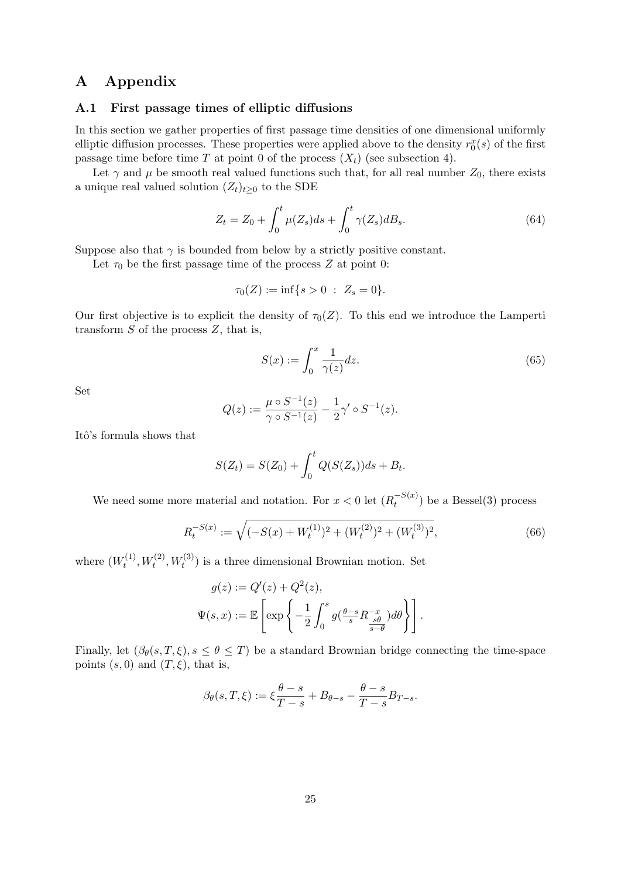## A Appendix

### A.1 First passage times of elliptic diffusions

In this section we gather properties of first passage time densities of one dimensional uniformly elliptic diffusion processes. These properties were applied above to the density  $r_0^x(s)$  of the first passage time before time T at point 0 of the process  $(X_t)$  (see subsection 4).

Let  $\gamma$  and  $\mu$  be smooth real valued functions such that, for all real number  $Z_0$ , there exists a unique real valued solution  $(Z_t)_{t>0}$  to the SDE

$$
Z_t = Z_0 + \int_0^t \mu(Z_s)ds + \int_0^t \gamma(Z_s)dB_s.
$$
 (64)

Suppose also that  $\gamma$  is bounded from below by a strictly positive constant.

Let  $\tau_0$  be the first passage time of the process Z at point 0:

$$
\tau_0(Z) := \inf\{s > 0 \; : \; Z_s = 0\}.
$$

Our first objective is to explicit the density of  $\tau_0(Z)$ . To this end we introduce the Lamperti transform  $S$  of the process  $Z$ , that is,

$$
S(x) := \int_0^x \frac{1}{\gamma(z)} dz.
$$
\n(65)

Set

$$
Q(z) := \frac{\mu \circ S^{-1}(z)}{\gamma \circ S^{-1}(z)} - \frac{1}{2} \gamma' \circ S^{-1}(z).
$$

Itô's formula shows that

$$
S(Z_t) = S(Z_0) + \int_0^t Q(S(Z_s))ds + B_t.
$$

We need some more material and notation. For  $x < 0$  let  $(R_t^{-S(x)})$  be a Bessel(3) process

$$
R_t^{-S(x)} := \sqrt{(-S(x) + W_t^{(1)})^2 + (W_t^{(2)})^2 + (W_t^{(3)})^2},\tag{66}
$$

where  $(W_t^{(1)}$  $t_t^{(1)}, W_t^{(2)}, W_t^{(3)}$  is a three dimensional Brownian motion. Set

$$
g(z) := Q'(z) + Q^2(z),
$$
  

$$
\Psi(s, x) := \mathbb{E}\left[\exp\left\{-\frac{1}{2} \int_0^s g(\frac{\theta - s}{s} R^{-x}_{\frac{s\theta}{s-\theta}}) d\theta\right\}\right].
$$

Finally, let  $(\beta_{\theta}(s,T,\xi), s \leq \theta \leq T)$  be a standard Brownian bridge connecting the time-space points  $(s, 0)$  and  $(T, \xi)$ , that is,

$$
\beta_{\theta}(s,T,\xi) := \xi \frac{\theta - s}{T - s} + B_{\theta - s} - \frac{\theta - s}{T - s} B_{T - s}.
$$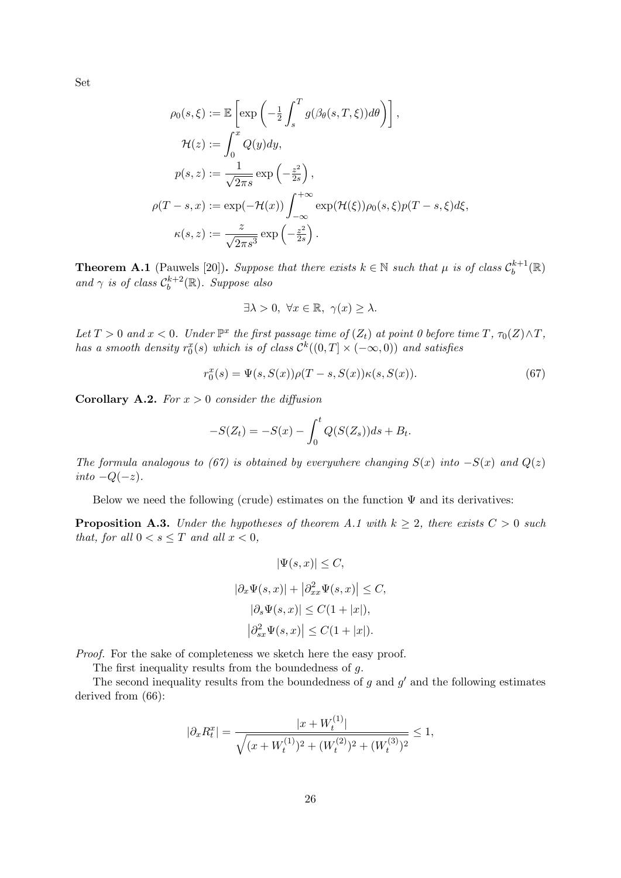Set

$$
\rho_0(s,\xi) := \mathbb{E}\left[\exp\left(-\frac{1}{2}\int_s^T g(\beta_\theta(s,T,\xi))d\theta\right)\right],
$$
  
\n
$$
\mathcal{H}(z) := \int_0^x Q(y)dy,
$$
  
\n
$$
p(s,z) := \frac{1}{\sqrt{2\pi s}}\exp\left(-\frac{z^2}{2s}\right),
$$
  
\n
$$
\rho(T-s,x) := \exp(-\mathcal{H}(x))\int_{-\infty}^{+\infty} \exp(\mathcal{H}(\xi))\rho_0(s,\xi)p(T-s,\xi)d\xi,
$$
  
\n
$$
\kappa(s,z) := \frac{z}{\sqrt{2\pi s^3}}\exp\left(-\frac{z^2}{2s}\right).
$$

**Theorem A.1** (Pauwels [20]). Suppose that there exists  $k \in \mathbb{N}$  such that  $\mu$  is of class  $\mathcal{C}_b^{k+1}$  $\mathbb{E}^{k+1}_b(\mathbb{R})$ and  $\gamma$  is of class  $\mathcal{C}_b^{k+2}$  $b^{k+2}(\mathbb{R})$ . Suppose also

$$
\exists \lambda > 0, \ \forall x \in \mathbb{R}, \ \gamma(x) \ge \lambda.
$$

Let  $T > 0$  and  $x < 0$ . Under  $\mathbb{P}^x$  the first passage time of  $(Z_t)$  at point 0 before time  $T$ ,  $\tau_0(Z) \wedge T$ , has a smooth density  $r_0^x(s)$  which is of class  $\mathcal{C}^k((0,T] \times (-\infty,0))$  and satisfies

$$
r_0^x(s) = \Psi(s, S(x))\rho(T - s, S(x))\kappa(s, S(x)).
$$
\n(67)

**Corollary A.2.** For  $x > 0$  consider the diffusion

$$
-S(Z_t) = -S(x) - \int_0^t Q(S(Z_s))ds + B_t.
$$

The formula analogous to (67) is obtained by everywhere changing  $S(x)$  into  $-S(x)$  and  $Q(z)$ into  $-Q(-z)$ .

Below we need the following (crude) estimates on the function  $\Psi$  and its derivatives:

**Proposition A.3.** Under the hypotheses of theorem A.1 with  $k \geq 2$ , there exists  $C > 0$  such that, for all  $0 < s \leq T$  and all  $x < 0$ ,

$$
|\Psi(s, x)| \le C,
$$
  
\n
$$
|\partial_x \Psi(s, x)| + |\partial_{xx}^2 \Psi(s, x)| \le C,
$$
  
\n
$$
|\partial_s \Psi(s, x)| \le C(1 + |x|),
$$
  
\n
$$
|\partial_{sx}^2 \Psi(s, x)| \le C(1 + |x|).
$$

Proof. For the sake of completeness we sketch here the easy proof.

The first inequality results from the boundedness of g.

The second inequality results from the boundedness of g and  $g'$  and the following estimates derived from  $(66)$ :

$$
|\partial_x R_t^x| = \frac{|x + W_t^{(1)}|}{\sqrt{(x + W_t^{(1)})^2 + (W_t^{(2)})^2 + (W_t^{(3)})^2}} \le 1,
$$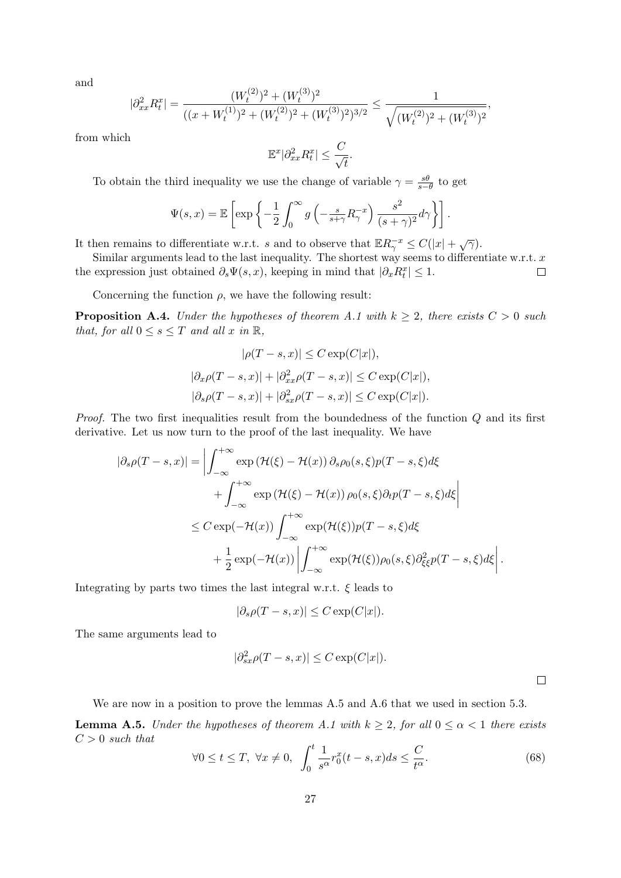and

$$
|\partial_{xx}^2 R_t^x| = \frac{(W_t^{(2)})^2 + (W_t^{(3)})^2}{((x + W_t^{(1)})^2 + (W_t^{(2)})^2 + (W_t^{(3)})^2)^{3/2}} \le \frac{1}{\sqrt{(W_t^{(2)})^2 + (W_t^{(3)})^2}},
$$

from which

$$
\mathbb{E}^x|\partial_{xx}^2 R_t^x| \le \frac{C}{\sqrt{t}}.
$$

To obtain the third inequality we use the change of variable  $\gamma = \frac{s\theta}{s-1}$  $\frac{s\theta}{s-\theta}$  to get

$$
\Psi(s,x) = \mathbb{E}\left[\exp\left\{-\frac{1}{2}\int_0^\infty g\left(-\frac{s}{s+\gamma}R_\gamma^{-x}\right)\frac{s^2}{(s+\gamma)^2}d\gamma\right\}\right].
$$

It then remains to differentiate w.r.t. s and to observe that  $\mathbb{E}R_{\gamma}^{-x} \leq C(|x| + \sqrt{\gamma}).$ 

Similar arguments lead to the last inequality. The shortest way seems to differentiate w.r.t.  $x$ the expression just obtained  $\partial_s \Psi(s, x)$ , keeping in mind that  $|\partial_x R_t^x| \leq 1$ .  $\Box$ 

Concerning the function  $\rho$ , we have the following result:

**Proposition A.4.** Under the hypotheses of theorem A.1 with  $k \geq 2$ , there exists  $C > 0$  such that, for all  $0 \leq s \leq T$  and all x in  $\mathbb{R}$ ,

$$
|\rho(T-s,x)| \le C \exp(C|x|),
$$
  

$$
|\partial_x \rho(T-s,x)| + |\partial_{xx}^2 \rho(T-s,x)| \le C \exp(C|x|),
$$
  

$$
|\partial_s \rho(T-s,x)| + |\partial_{xx}^2 \rho(T-s,x)| \le C \exp(C|x|).
$$

Proof. The two first inequalities result from the boundedness of the function Q and its first derivative. Let us now turn to the proof of the last inequality. We have

$$
|\partial_s \rho(T-s, x)| = \left| \int_{-\infty}^{+\infty} \exp(\mathcal{H}(\xi) - \mathcal{H}(x)) \partial_s \rho_0(s, \xi) p(T-s, \xi) d\xi \right|
$$
  
+ 
$$
\int_{-\infty}^{+\infty} \exp(\mathcal{H}(\xi) - \mathcal{H}(x)) \rho_0(s, \xi) \partial_t p(T-s, \xi) d\xi \right|
$$
  

$$
\leq C \exp(-\mathcal{H}(x)) \int_{-\infty}^{+\infty} \exp(\mathcal{H}(\xi)) p(T-s, \xi) d\xi
$$
  
+ 
$$
\frac{1}{2} \exp(-\mathcal{H}(x)) \left| \int_{-\infty}^{+\infty} \exp(\mathcal{H}(\xi)) \rho_0(s, \xi) \partial_{\xi\xi}^2 p(T-s, \xi) d\xi \right|.
$$

Integrating by parts two times the last integral w.r.t.  $\xi$  leads to

$$
|\partial_s \rho(T-s,x)| \leq C \exp(C|x|).
$$

The same arguments lead to

$$
|\partial_{sx}^2 \rho(T - s, x)| \le C \exp(C|x|).
$$

We are now in a position to prove the lemmas A.5 and A.6 that we used in section 5.3.

**Lemma A.5.** Under the hypotheses of theorem A.1 with  $k \geq 2$ , for all  $0 \leq \alpha < 1$  there exists  $C > 0$  such that

$$
\forall 0 \le t \le T, \ \forall x \ne 0, \ \int_0^t \frac{1}{s^\alpha} r_0^x(t-s, x) ds \le \frac{C}{t^\alpha}.
$$
 (68)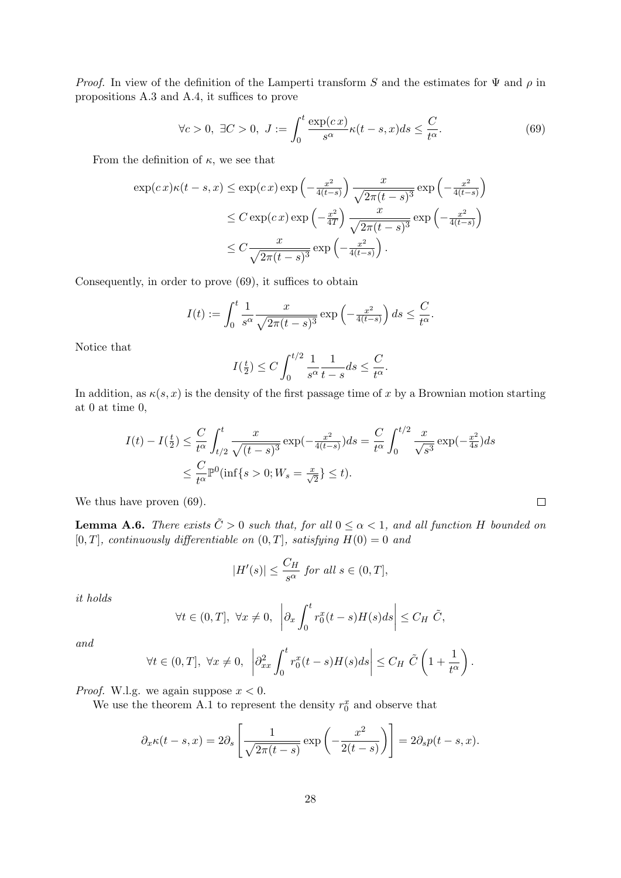*Proof.* In view of the definition of the Lamperti transform S and the estimates for  $\Psi$  and  $\rho$  in propositions A.3 and A.4, it suffices to prove

$$
\forall c > 0, \ \exists C > 0, \ J := \int_0^t \frac{\exp(c \, x)}{s^\alpha} \kappa(t - s, x) ds \le \frac{C}{t^\alpha}.
$$

From the definition of  $\kappa$ , we see that

$$
\exp(c\,x)\kappa(t-s,x) \le \exp(c\,x)\exp\left(-\frac{x^2}{4(t-s)}\right) \frac{x}{\sqrt{2\pi(t-s)^3}} \exp\left(-\frac{x^2}{4(t-s)}\right)
$$
  

$$
\le C\exp(c\,x)\exp\left(-\frac{x^2}{4T}\right) \frac{x}{\sqrt{2\pi(t-s)^3}} \exp\left(-\frac{x^2}{4(t-s)}\right)
$$
  

$$
\le C\frac{x}{\sqrt{2\pi(t-s)^3}} \exp\left(-\frac{x^2}{4(t-s)}\right).
$$

Consequently, in order to prove (69), it suffices to obtain

$$
I(t) := \int_0^t \frac{1}{s^{\alpha}} \frac{x}{\sqrt{2\pi (t-s)^3}} \exp\left(-\frac{x^2}{4(t-s)}\right) ds \le \frac{C}{t^{\alpha}}.
$$

Notice that

$$
I(\frac{t}{2}) \le C \int_0^{t/2} \frac{1}{s^{\alpha}} \frac{1}{t-s} ds \le \frac{C}{t^{\alpha}}.
$$

In addition, as  $\kappa(s, x)$  is the density of the first passage time of x by a Brownian motion starting at 0 at time 0,

$$
I(t) - I(\frac{t}{2}) \le \frac{C}{t^{\alpha}} \int_{t/2}^{t} \frac{x}{\sqrt{(t-s)^{3}}} \exp(-\frac{x^{2}}{4(t-s)}) ds = \frac{C}{t^{\alpha}} \int_{0}^{t/2} \frac{x}{\sqrt{s^{3}}} \exp(-\frac{x^{2}}{4s}) ds
$$
  

$$
\le \frac{C}{t^{\alpha}} \mathbb{P}^{0}(\inf\{s > 0; W_{s} = \frac{x}{\sqrt{2}}\} \le t).
$$

We thus have proven  $(69)$ .

**Lemma A.6.** There exists  $\tilde{C} > 0$  such that, for all  $0 \leq \alpha < 1$ , and all function H bounded on [0, T], continuously differentiable on  $(0, T]$ , satisfying  $H(0) = 0$  and

 $\Box$ 

$$
|H'(s)| \le \frac{C_H}{s^{\alpha}} \text{ for all } s \in (0, T],
$$

it holds

$$
\forall t \in (0, T], \ \forall x \neq 0, \ \left| \partial_x \int_0^t r_0^x(t - s) H(s) ds \right| \leq C_H \tilde{C},
$$

and

$$
\forall t \in (0, T], \ \forall x \neq 0, \ \left| \partial_{xx}^2 \int_0^t r_0^x(t - s) H(s) ds \right| \leq C_H \ \tilde{C} \left( 1 + \frac{1}{t^{\alpha}} \right).
$$

*Proof.* W.l.g. we again suppose  $x < 0$ .

We use the theorem A.1 to represent the density  $r_0^x$  and observe that

$$
\partial_x \kappa(t-s, x) = 2\partial_s \left[ \frac{1}{\sqrt{2\pi(t-s)}} \exp\left(-\frac{x^2}{2(t-s)}\right) \right] = 2\partial_s p(t-s, x).
$$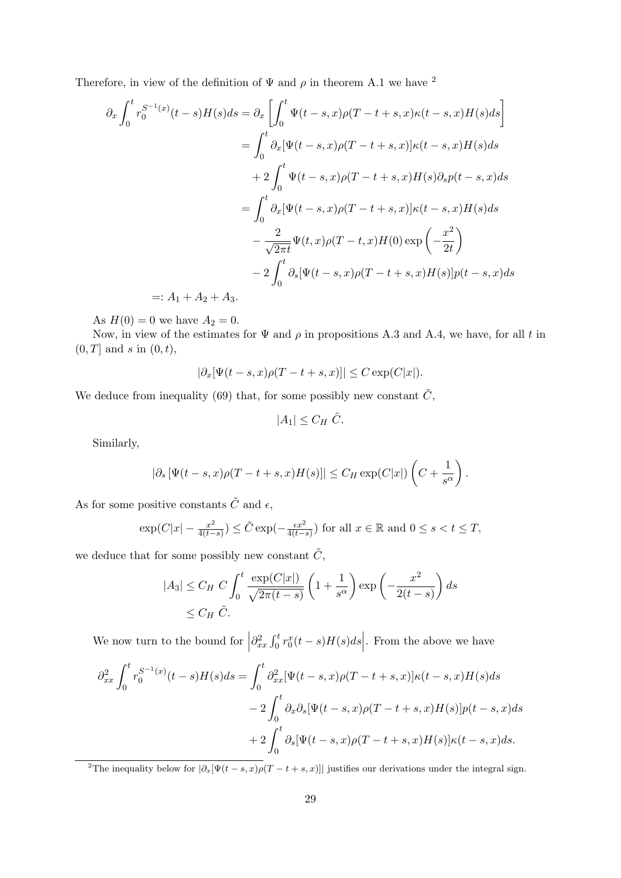Therefore, in view of the definition of  $\Psi$  and  $\rho$  in theorem A.1 we have <sup>2</sup>

$$
\partial_x \int_0^t r_0^{S^{-1}(x)}(t-s)H(s)ds = \partial_x \left[ \int_0^t \Psi(t-s,x)\rho(T-t+s,x)\kappa(t-s,x)H(s)ds \right]
$$
  
\n
$$
= \int_0^t \partial_x [\Psi(t-s,x)\rho(T-t+s,x)]\kappa(t-s,x)H(s)ds
$$
  
\n
$$
+ 2 \int_0^t \Psi(t-s,x)\rho(T-t+s,x)H(s)\partial_s p(t-s,x)ds
$$
  
\n
$$
= \int_0^t \partial_x [\Psi(t-s,x)\rho(T-t+s,x)]\kappa(t-s,x)H(s)ds
$$
  
\n
$$
- \frac{2}{\sqrt{2\pi t}}\Psi(t,x)\rho(T-t,x)H(0)\exp\left(-\frac{x^2}{2t}\right)
$$
  
\n
$$
- 2 \int_0^t \partial_s [\Psi(t-s,x)\rho(T-t+s,x)H(s)]p(t-s,x)ds
$$
  
\n
$$
=: A_1 + A_2 + A_3.
$$

As  $H(0) = 0$  we have  $A_2 = 0$ .

Now, in view of the estimates for  $\Psi$  and  $\rho$  in propositions A.3 and A.4, we have, for all t in  $(0, T]$  and s in  $(0, t)$ ,

$$
|\partial_x[\Psi(t-s,x)\rho(T-t+s,x)]| \leq C \exp(C|x|).
$$

We deduce from inequality (69) that, for some possibly new constant  $\tilde{C}$ ,

$$
|A_1| \leq C_H \tilde{C}.
$$

Similarly,

$$
|\partial_s [\Psi(t-s,x)\rho(T-t+s,x)H(s)]| \leq C_H \exp(C|x|) \left(C + \frac{1}{s^{\alpha}}\right).
$$

As for some positive constants  $\tilde{C}$  and  $\epsilon$ ,

$$
\exp(C|x| - \frac{x^2}{4(t-s)}) \le \tilde{C} \exp(-\frac{\epsilon x^2}{4(t-s)})
$$
 for all  $x \in \mathbb{R}$  and  $0 \le s < t \le T$ ,

we deduce that for some possibly new constant  $\tilde{C}$ ,

$$
|A_3| \le C_H C \int_0^t \frac{\exp(C|x|)}{\sqrt{2\pi(t-s)}} \left(1 + \frac{1}{s^{\alpha}}\right) \exp\left(-\frac{x^2}{2(t-s)}\right) ds
$$
  
\$\le C\_H \tilde{C}\$.

We now turn to the bound for  $\vert$  $\partial_{xx}^2 \int_0^t r_0^x(t-s)H(s)ds\Big|$ . From the above we have

$$
\partial_{xx}^2 \int_0^t r_0^{S^{-1}(x)}(t-s)H(s)ds = \int_0^t \partial_{xx}^2 [\Psi(t-s,x)\rho(T-t+s,x)]\kappa(t-s,x)H(s)ds
$$
  

$$
-2\int_0^t \partial_x \partial_s [\Psi(t-s,x)\rho(T-t+s,x)H(s)]p(t-s,x)ds
$$
  
+2
$$
\int_0^t \partial_s [\Psi(t-s,x)\rho(T-t+s,x)H(s)]\kappa(t-s,x)ds.
$$

<sup>2</sup>The inequality below for  $|\partial_x[\Psi(t-s,x)\rho(T-t+s,x)]|$  justifies our derivations under the integral sign.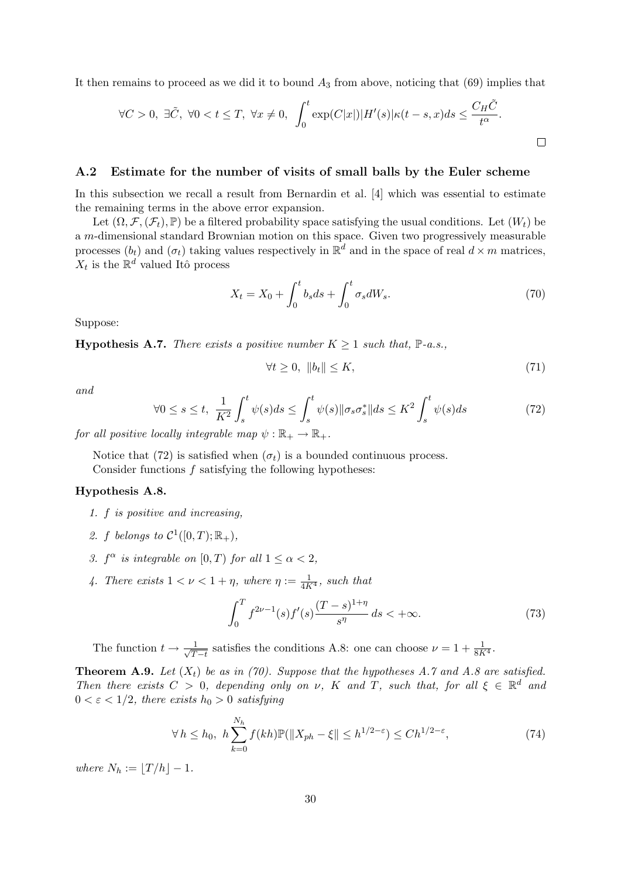It then remains to proceed as we did it to bound  $A_3$  from above, noticing that (69) implies that

$$
\forall C>0, \ \exists \tilde{C}, \ \forall 0
$$

#### A.2 Estimate for the number of visits of small balls by the Euler scheme

In this subsection we recall a result from Bernardin et al. [4] which was essential to estimate the remaining terms in the above error expansion.

Let  $(\Omega, \mathcal{F}, (\mathcal{F}_t), \mathbb{P})$  be a filtered probability space satisfying the usual conditions. Let  $(W_t)$  be a m-dimensional standard Brownian motion on this space. Given two progressively measurable processes  $(b_t)$  and  $(\sigma_t)$  taking values respectively in  $\mathbb{R}^d$  and in the space of real  $d \times m$  matrices,  $X_t$  is the  $\mathbb{R}^d$  valued Itô process

$$
X_t = X_0 + \int_0^t b_s ds + \int_0^t \sigma_s dW_s.
$$
 (70)

Suppose:

**Hypothesis A.7.** There exists a positive number  $K \geq 1$  such that,  $\mathbb{P}\text{-}a.s.,$ 

$$
\forall t \ge 0, \|b_t\| \le K,\tag{71}
$$

and

$$
\forall 0 \le s \le t, \ \frac{1}{K^2} \int_s^t \psi(s)ds \le \int_s^t \psi(s) \|\sigma_s \sigma_s^*\| ds \le K^2 \int_s^t \psi(s)ds \tag{72}
$$

for all positive locally integrable map  $\psi : \mathbb{R}_+ \to \mathbb{R}_+$ .

Notice that (72) is satisfied when  $(\sigma_t)$  is a bounded continuous process. Consider functions f satisfying the following hypotheses:

#### Hypothesis A.8.

- 1. f is positive and increasing,
- 2. f belongs to  $\mathcal{C}^1([0,T);\mathbb{R}_+),$
- 3.  $f^{\alpha}$  is integrable on  $[0, T)$  for all  $1 \leq \alpha < 2$ ,
- 4. There exists  $1 < \nu < 1 + \eta$ , where  $\eta := \frac{1}{4K^4}$ , such that

$$
\int_0^T f^{2\nu - 1}(s) f'(s) \frac{(T - s)^{1 + \eta}}{s^{\eta}} ds < +\infty.
$$
 (73)

The function  $t \to \frac{1}{\sqrt{T}}$  $\frac{1}{T-t}$  satisfies the conditions A.8: one can choose  $\nu = 1 + \frac{1}{8K^4}$ .

**Theorem A.9.** Let  $(X_t)$  be as in (70). Suppose that the hypotheses A.7 and A.8 are satisfied. Then there exists  $C > 0$ , depending only on  $\nu$ , K and T, such that, for all  $\xi \in \mathbb{R}^d$  and  $0 < \varepsilon < 1/2$ , there exists  $h_0 > 0$  satisfying

$$
\forall h \leq h_0, \ h \sum_{k=0}^{N_h} f(kh) \mathbb{P}(\|X_{ph} - \xi\| \leq h^{1/2 - \varepsilon}) \leq Ch^{1/2 - \varepsilon},\tag{74}
$$

where  $N_h := |T/h| - 1$ .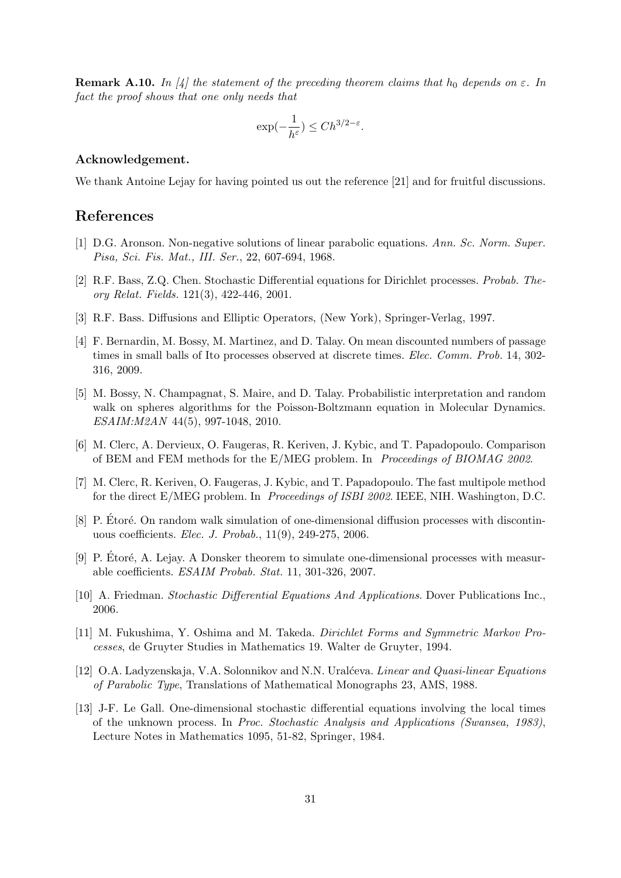**Remark A.10.** In [4] the statement of the preceding theorem claims that  $h_0$  depends on  $\varepsilon$ . In fact the proof shows that one only needs that

$$
\exp(-\frac{1}{h^{\varepsilon}}) \le Ch^{3/2-\varepsilon}.
$$

#### Acknowledgement.

We thank Antoine Lejay for having pointed us out the reference [21] and for fruitful discussions.

## References

- [1] D.G. Aronson. Non-negative solutions of linear parabolic equations. Ann. Sc. Norm. Super. Pisa, Sci. Fis. Mat., III. Ser., 22, 607-694, 1968.
- [2] R.F. Bass, Z.Q. Chen. Stochastic Differential equations for Dirichlet processes. Probab. Theory Relat. Fields. 121(3), 422-446, 2001.
- [3] R.F. Bass. Diffusions and Elliptic Operators, (New York), Springer-Verlag, 1997.
- [4] F. Bernardin, M. Bossy, M. Martinez, and D. Talay. On mean discounted numbers of passage times in small balls of Ito processes observed at discrete times. *Elec. Comm. Prob.* 14, 302-316, 2009.
- [5] M. Bossy, N. Champagnat, S. Maire, and D. Talay. Probabilistic interpretation and random walk on spheres algorithms for the Poisson-Boltzmann equation in Molecular Dynamics. ESAIM:M2AN 44(5), 997-1048, 2010.
- [6] M. Clerc, A. Dervieux, O. Faugeras, R. Keriven, J. Kybic, and T. Papadopoulo. Comparison of BEM and FEM methods for the E/MEG problem. In Proceedings of BIOMAG 2002.
- [7] M. Clerc, R. Keriven, O. Faugeras, J. Kybic, and T. Papadopoulo. The fast multipole method for the direct E/MEG problem. In *Proceedings of ISBI 2002*. IEEE, NIH. Washington, D.C.
- [8] P. Etoré. On random walk simulation of one-dimensional diffusion processes with discontinuous coefficients. Elec. J. Probab., 11(9), 249-275, 2006.
- [9] P. Etoré, A. Lejay. A Donsker theorem to simulate one-dimensional processes with measurable coefficients. ESAIM Probab. Stat. 11, 301-326, 2007.
- [10] A. Friedman. Stochastic Differential Equations And Applications. Dover Publications Inc., 2006.
- [11] M. Fukushima, Y. Oshima and M. Takeda. Dirichlet Forms and Symmetric Markov Processes, de Gruyter Studies in Mathematics 19. Walter de Gruyter, 1994.
- [12] O.A. Ladyzenskaja, V.A. Solonnikov and N.N. Ural´ceva. Linear and Quasi-linear Equations of Parabolic Type, Translations of Mathematical Monographs 23, AMS, 1988.
- [13] J-F. Le Gall. One-dimensional stochastic differential equations involving the local times of the unknown process. In Proc. Stochastic Analysis and Applications (Swansea, 1983), Lecture Notes in Mathematics 1095, 51-82, Springer, 1984.